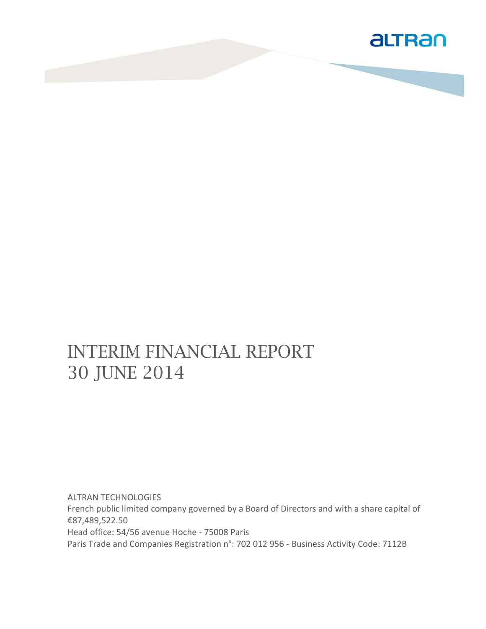

# INTERIM FINANCIAL REPORT 30 JUNE 2014

ALTRAN TECHNOLOGIES French public limited company governed by a Board of Directors and with a share capital of €87,489,522.50 Head office: 54/56 avenue Hoche - 75008 Paris Paris Trade and Companies Registration n°: 702 012 956 - Business Activity Code: 7112B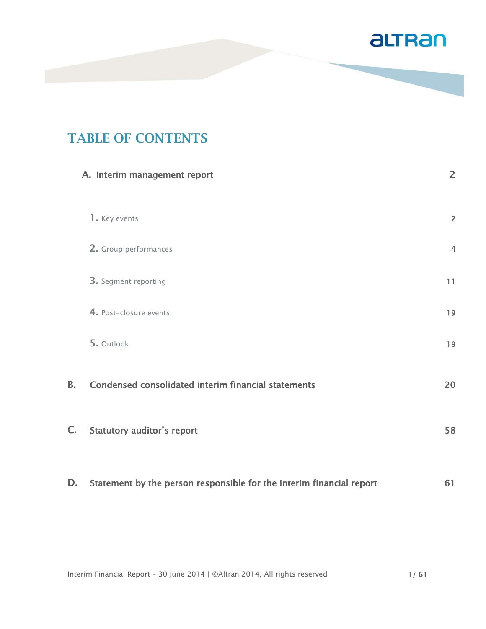

## **TABLE OF CONTENTS**

|    | A. Interim management report                                         | $\overline{2}$ |
|----|----------------------------------------------------------------------|----------------|
|    | 1. Key events                                                        | $\overline{2}$ |
|    | 2. Group performances                                                | $\overline{4}$ |
|    | 3. Segment reporting                                                 | 11             |
|    | 4. Post-closure events                                               | 19             |
|    | 5. Outlook                                                           | 19             |
| В. | Condensed consolidated interim financial statements                  | 20             |
| C. | <b>Statutory auditor's report</b>                                    | 58             |
| D. | Statement by the person responsible for the interim financial report | 61             |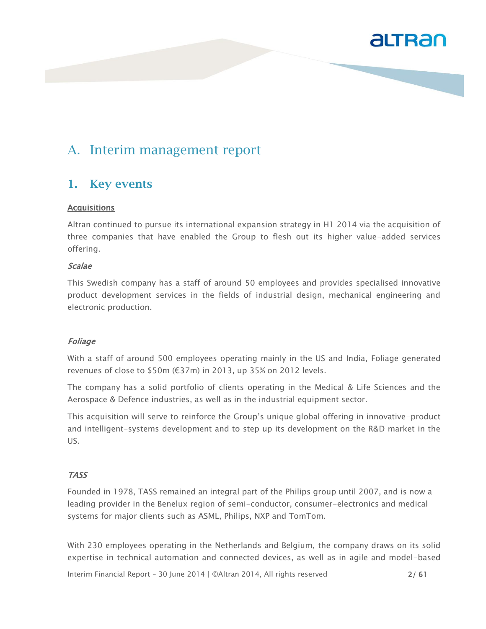

### A. Interim management report

#### **1. Key events**

#### Acquisitions

Altran continued to pursue its international expansion strategy in H1 2014 via the acquisition of three companies that have enabled the Group to flesh out its higher value-added services offering.

#### Scalae

This Swedish company has a staff of around 50 employees and provides specialised innovative product development services in the fields of industrial design, mechanical engineering and electronic production.

#### Foliage

With a staff of around 500 employees operating mainly in the US and India, Foliage generated revenues of close to \$50m (€37m) in 2013, up 35% on 2012 levels.

The company has a solid portfolio of clients operating in the Medical & Life Sciences and the Aerospace & Defence industries, as well as in the industrial equipment sector.

This acquisition will serve to reinforce the Group's unique global offering in innovative-product and intelligent-systems development and to step up its development on the R&D market in the US.

#### TASS

Founded in 1978, TASS remained an integral part of the Philips group until 2007, and is now a leading provider in the Benelux region of semi-conductor, consumer-electronics and medical systems for major clients such as ASML, Philips, NXP and TomTom.

With 230 employees operating in the Netherlands and Belgium, the company draws on its solid expertise in technical automation and connected devices, as well as in agile and model-based

Interim Financial Report – 30 June 2014 | ©Altran 2014, All rights reserved 2/ 61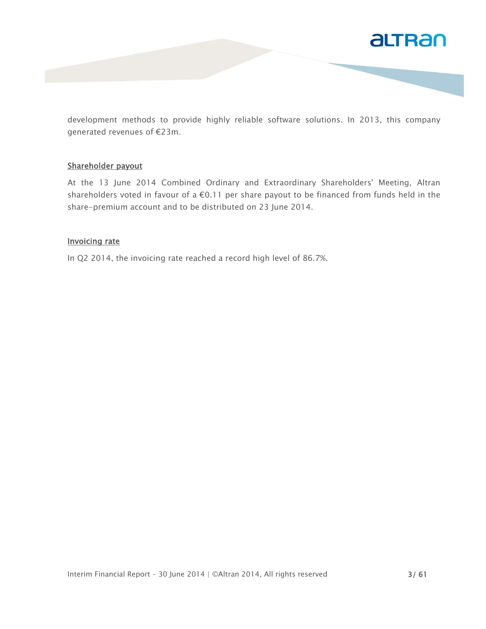

development methods to provide highly reliable software solutions. In 2013, this company generated revenues of €23m.

#### Shareholder payout

At the 13 June 2014 Combined Ordinary and Extraordinary Shareholders' Meeting, Altran shareholders voted in favour of a €0.11 per share payout to be financed from funds held in the share-premium account and to be distributed on 23 June 2014.

#### Invoicing rate

In Q2 2014, the invoicing rate reached a record high level of 86.7%.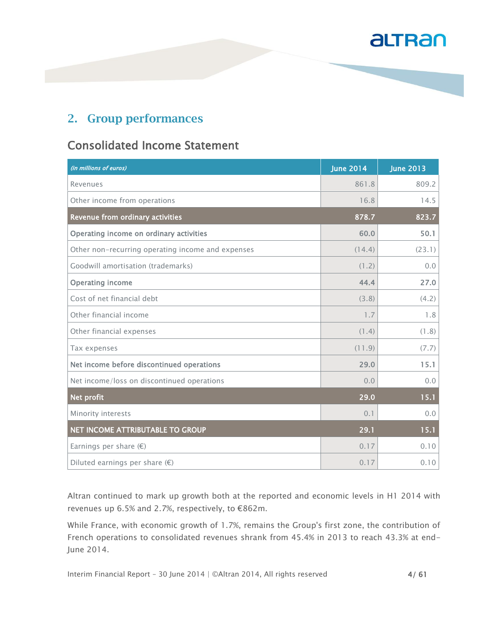#### **2. Group performances**

### Consolidated Income Statement

| (in millions of euros)                            | <b>June 2014</b> | <b>June 2013</b> |
|---------------------------------------------------|------------------|------------------|
| Revenues                                          | 861.8            | 809.2            |
| Other income from operations                      | 16.8             | 14.5             |
| Revenue from ordinary activities                  | 878.7            | 823.7            |
| Operating income on ordinary activities           | 60.0             | 50.1             |
| Other non-recurring operating income and expenses | (14.4)           | (23.1)           |
| Goodwill amortisation (trademarks)                | (1.2)            | 0.0              |
| <b>Operating income</b>                           | 44.4             | 27.0             |
| Cost of net financial debt                        | (3.8)            | (4.2)            |
| Other financial income                            | 1.7              | 1.8              |
| Other financial expenses                          | (1.4)            | (1.8)            |
| Tax expenses                                      | (11.9)           | (7.7)            |
| Net income before discontinued operations         | 29.0             | 15.1             |
| Net income/loss on discontinued operations        | 0.0              | 0.0              |
| Net profit                                        | 29.0             | 15.1             |
| Minority interests                                | 0.1              | 0.0              |
| NET INCOME ATTRIBUTABLE TO GROUP                  | 29.1             | 15.1             |
| Earnings per share $(\epsilon)$                   | 0.17             | 0.10             |
| Diluted earnings per share $(\epsilon)$           | 0.17             | 0.10             |

Altran continued to mark up growth both at the reported and economic levels in H1 2014 with revenues up 6.5% and 2.7%, respectively, to €862m.

While France, with economic growth of 1.7%, remains the Group's first zone, the contribution of French operations to consolidated revenues shrank from 45.4% in 2013 to reach 43.3% at end-June 2014.

Interim Financial Report - 30 June 2014 | ©Altran 2014, All rights reserved 4/61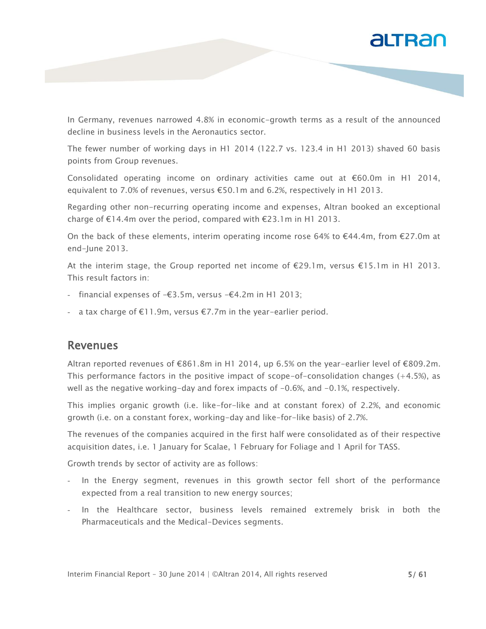

In Germany, revenues narrowed 4.8% in economic-growth terms as a result of the announced decline in business levels in the Aeronautics sector.

The fewer number of working days in H1 2014 (122.7 vs. 123.4 in H1 2013) shaved 60 basis points from Group revenues.

Consolidated operating income on ordinary activities came out at €60.0m in H1 2014, equivalent to 7.0% of revenues, versus €50.1m and 6.2%, respectively in H1 2013.

Regarding other non-recurring operating income and expenses, Altran booked an exceptional charge of €14.4m over the period, compared with €23.1m in H1 2013.

On the back of these elements, interim operating income rose 64% to  $\epsilon$ 44.4m, from  $\epsilon$ 27.0m at end-June 2013.

At the interim stage, the Group reported net income of €29.1m, versus €15.1m in H1 2013. This result factors in:

- financial expenses of  $-€3.5m$ , versus  $-€4.2m$  in H1 2013;
- a tax charge of €11.9m, versus €7.7m in the year-earlier period.

#### Revenues

Altran reported revenues of €861.8m in H1 2014, up 6.5% on the year-earlier level of €809.2m. This performance factors in the positive impact of scope-of-consolidation changes  $(+4.5\%)$ , as well as the negative working-day and forex impacts of  $-0.6%$ , and  $-0.1%$ , respectively.

This implies organic growth (i.e. like-for-like and at constant forex) of 2.2%, and economic growth (i.e. on a constant forex, working-day and like-for-like basis) of 2.7%.

The revenues of the companies acquired in the first half were consolidated as of their respective acquisition dates, i.e. 1 January for Scalae, 1 February for Foliage and 1 April for TASS.

Growth trends by sector of activity are as follows:

- In the Energy segment, revenues in this growth sector fell short of the performance expected from a real transition to new energy sources;
- In the Healthcare sector, business levels remained extremely brisk in both the Pharmaceuticals and the Medical-Devices segments.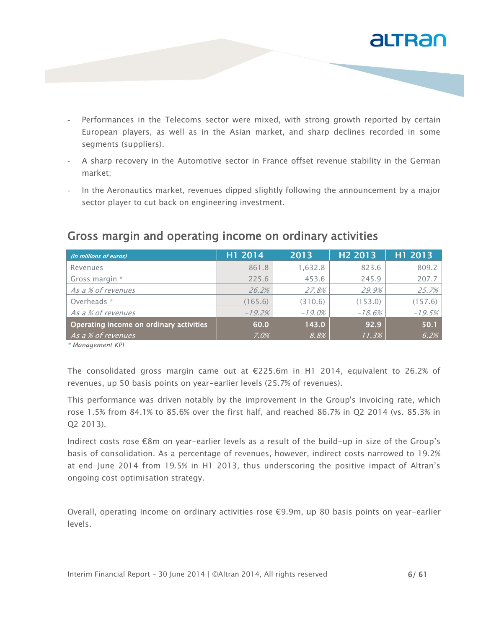

- Performances in the Telecoms sector were mixed, with strong growth reported by certain European players, as well as in the Asian market, and sharp declines recorded in some segments (suppliers).
- A sharp recovery in the Automotive sector in France offset revenue stability in the German market;
- In the Aeronautics market, revenues dipped slightly following the announcement by a major sector player to cut back on engineering investment.

| (in millions of euros)                  | H1 2014  | 2013      | H <sub>2</sub> 2013 | H1 2013  |
|-----------------------------------------|----------|-----------|---------------------|----------|
| Revenues                                | 861.8    | 1,632.8   | 823.6               | 809.2    |
| Gross margin *                          | 225.6    | 453.6     | 245.9               | 207.7    |
| As a % of revenues                      | 26.2%    | 27.8%     | 29.9%               | 25.7%    |
| Overheads *                             | (165.6)  | (310.6)   | (153.0)             | (157.6)  |
| As a % of revenues                      | $-19.2%$ | $-19.0\%$ | $-18.6%$            | $-19.5%$ |
| Operating income on ordinary activities | 60.0     | 143.0     | 92.9                | 50.1     |
| As a % of revenues                      | $7.0\%$  | 8.8%      | 11.3%               | 6.2%     |

#### Gross margin and operating income on ordinary activities

*\* Management KPI*

The consolidated gross margin came out at  $E$ 225.6m in H1 2014, equivalent to 26.2% of revenues, up 50 basis points on year-earlier levels (25.7% of revenues).

This performance was driven notably by the improvement in the Group's invoicing rate, which rose 1.5% from 84.1% to 85.6% over the first half, and reached 86.7% in Q2 2014 (vs. 85.3% in Q2 2013).

Indirect costs rose €8m on year-earlier levels as a result of the build-up in size of the Group's basis of consolidation. As a percentage of revenues, however, indirect costs narrowed to 19.2% at end-June 2014 from 19.5% in H1 2013, thus underscoring the positive impact of Altran's ongoing cost optimisation strategy.

Overall, operating income on ordinary activities rose €9.9m, up 80 basis points on year-earlier levels.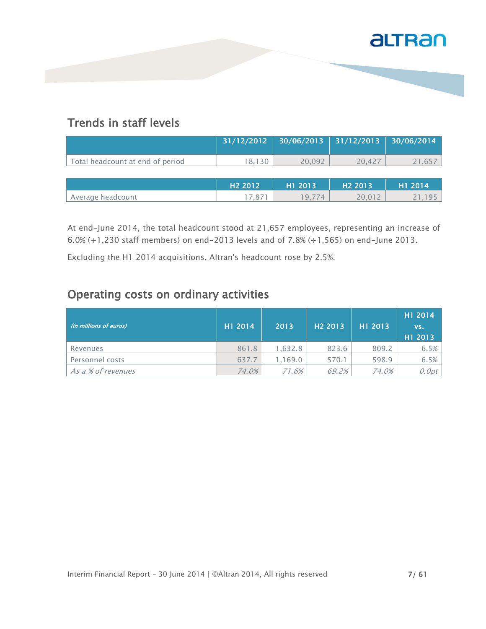

### Trends in staff levels

|                                  | 31/12/2012          | 30/06/2013 | 31/12/2013          | 30/06/2014 |
|----------------------------------|---------------------|------------|---------------------|------------|
| Total headcount at end of period | 18,130              | 20,092     | 20.427              | 21,657     |
|                                  |                     |            |                     |            |
|                                  | H <sub>2</sub> 2012 | H1 2013    | H <sub>2</sub> 2013 | H1 2014    |
| Average headcount                | 17.871              | 19.774     | 20,012              | . 95       |

At end-June 2014, the total headcount stood at 21,657 employees, representing an increase of 6.0% (+1,230 staff members) on end-2013 levels and of 7.8% (+1,565) on end-June 2013.

Excluding the H1 2014 acquisitions, Altran's headcount rose by 2.5%.

#### Operating costs on ordinary activities

| (in millions of euros) | H1 2014 | 2013    | H <sub>2</sub> 2013 | H1 2013 | H1 2014<br>VS.<br>H1 2013 |
|------------------------|---------|---------|---------------------|---------|---------------------------|
| Revenues               | 861.8   | 1.632.8 | 823.6               | 809.2   | 6.5%                      |
| Personnel costs        | 637.7   | 1.169.0 | 570.1               | 598.9   | 6.5%                      |
| As a % of revenues     | 74.0%   | 71.6%   | 69.2%               | 74.0%   | 0.0pt                     |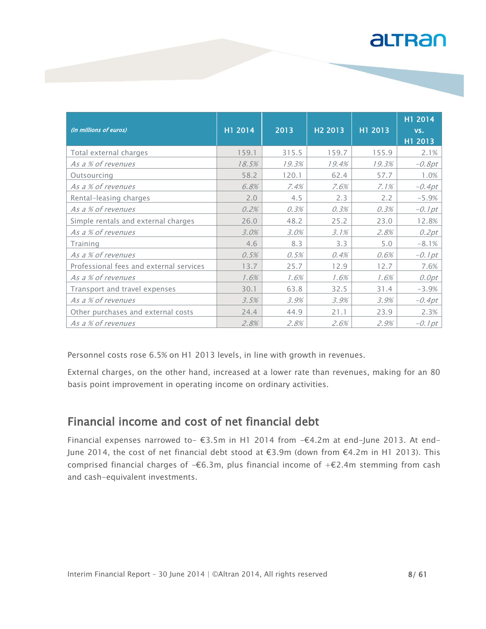| (in millions of euros)                  | H1 2014 | 2013  | H <sub>2</sub> 2013 | H1 2013 | H1 2014<br>VS.<br>H1 2013 |
|-----------------------------------------|---------|-------|---------------------|---------|---------------------------|
| Total external charges                  | 159.1   | 315.5 | 159.7               | 155.9   | 2.1%                      |
| As a % of revenues                      | 18.5%   | 19.3% | 19.4%               | 19.3%   | $-0.8pt$                  |
| Outsourcing                             | 58.2    | 120.1 | 62.4                | 57.7    | 1.0%                      |
| As a % of revenues                      | 6.8%    | 7.4%  | 7.6%                | 7.1%    | $-0.4pt$                  |
| Rental-leasing charges                  | 2.0     | 4.5   | 2.3                 | 2.2     | $-5.9%$                   |
| As a % of revenues                      | 0.2%    | 0.3%  | 0.3%                | 0.3%    | $-0.1pt$                  |
| Simple rentals and external charges     | 26.0    | 48.2  | 25.2                | 23.0    | 12.8%                     |
| As a % of revenues                      | 3.0%    | 3.0%  | 3.1%                | 2.8%    | 0.2pt                     |
| Training                                | 4.6     | 8.3   | 3.3                 | 5.0     | $-8.1%$                   |
| As a % of revenues                      | 0.5%    | 0.5%  | 0.4%                | 0.6%    | $-0.1$ pt                 |
| Professional fees and external services | 13.7    | 25.7  | 12.9                | 12.7    | 7.6%                      |
| As a % of revenues                      | 1.6%    | 1.6%  | 1.6%                | 1.6%    | 0.0pt                     |
| Transport and travel expenses           | 30.1    | 63.8  | 32.5                | 31.4    | $-3.9%$                   |
| As a % of revenues                      | 3.5%    | 3.9%  | 3.9%                | 3.9%    | $-0.4pt$                  |
| Other purchases and external costs      | 24.4    | 44.9  | 21.1                | 23.9    | 2.3%                      |
| As a % of revenues                      | 2.8%    | 2.8%  | 2.6%                | 2.9%    | $-0.1$ pt                 |

Personnel costs rose 6.5% on H1 2013 levels, in line with growth in revenues.

External charges, on the other hand, increased at a lower rate than revenues, making for an 80 basis point improvement in operating income on ordinary activities.

#### Financial income and cost of net financial debt

Financial expenses narrowed to- €3.5m in H1 2014 from  $-€4.2m$  at end-June 2013. At end-June 2014, the cost of net financial debt stood at €3.9m (down from €4.2m in H1 2013). This comprised financial charges of  $-€6.3m$ , plus financial income of  $+€2.4m$  stemming from cash and cash-equivalent investments.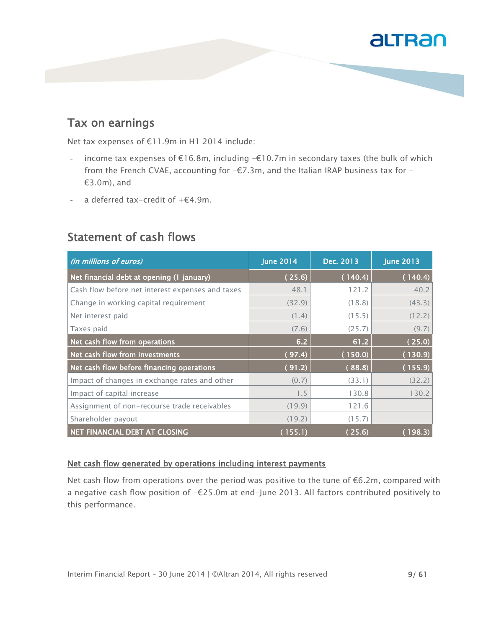#### Tax on earnings

Net tax expenses of €11.9m in H1 2014 include:

- income tax expenses of  $E16.8m$ , including - $E10.7m$  in secondary taxes (the bulk of which from the French CVAE, accounting for  $-\epsilon$ 7.3m, and the Italian IRAP business tax for -€3.0m), and
- a deferred tax-credit of  $+ \epsilon 4.9$ m.

| (in millions of euros)                           | <b>June 2014</b> | Dec. 2013 | <b>June 2013</b> |
|--------------------------------------------------|------------------|-----------|------------------|
| Net financial debt at opening (1 january)        | (25.6)           | (140.4)   | (140.4)          |
| Cash flow before net interest expenses and taxes | 48.1             | 121.2     | 40.2             |
| Change in working capital requirement            | (32.9)           | (18.8)    | (43.3)           |
| Net interest paid                                | (1.4)            | (15.5)    | (12.2)           |
| Taxes paid                                       | (7.6)            | (25.7)    | (9.7)            |
| Net cash flow from operations                    | 6.2              | 61.2      | (25.0)           |
| Net cash flow from investments                   | (97.4)           | (150.0)   | (130.9)          |
| Net cash flow before financing operations        | (91.2)           | (88.8)    | (155.9)          |
| Impact of changes in exchange rates and other    | (0.7)            | (33.1)    | (32.2)           |
| Impact of capital increase                       | 1.5              | 130.8     | 130.2            |
| Assignment of non-recourse trade receivables     | (19.9)           | 121.6     |                  |
| Shareholder payout                               | (19.2)           | (15.7)    |                  |
| NET FINANCIAL DEBT AT CLOSING                    | (155.1)          | (25.6)    | (198.3)          |

#### Statement of cash flows

#### Net cash flow generated by operations including interest payments

Net cash flow from operations over the period was positive to the tune of €6.2m, compared with a negative cash flow position of -€25.0m at end-June 2013. All factors contributed positively to this performance.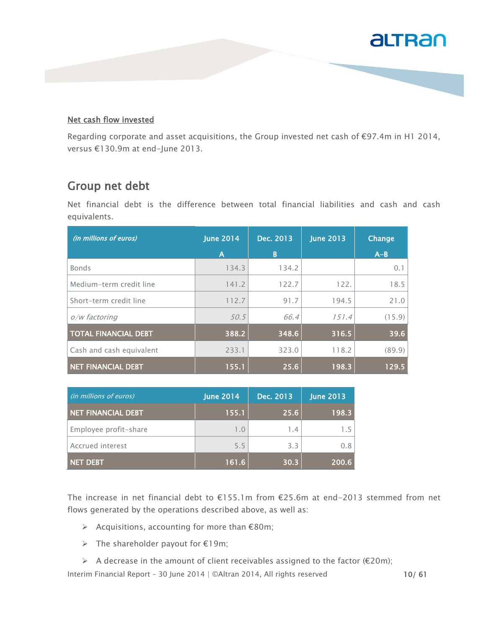#### Net cash flow invested

Regarding corporate and asset acquisitions, the Group invested net cash of €97.4m in H1 2014, versus €130.9m at end-June 2013.

#### Group net debt

Net financial debt is the difference between total financial liabilities and cash and cash equivalents.

| (in millions of euros)      | <b>June 2014</b> | Dec. 2013 | <b>June 2013</b> | Change  |
|-----------------------------|------------------|-----------|------------------|---------|
|                             | A                | B         |                  | $A - B$ |
| <b>Bonds</b>                | 134.3            | 134.2     |                  | $0$ .   |
| Medium-term credit line     | 141.2            | 122.7     | 122.             | 18.5    |
| Short-term credit line      | 112.7            | 91.7      | 194.5            | 21.0    |
| o/w factoring               | 50.5             | 66.4      | 151.4            | (15.9)  |
| <b>TOTAL FINANCIAL DEBT</b> | 388.2            | 348.6     | 316.5            | 39.6    |
| Cash and cash equivalent    | 233.1            | 323.0     | 118.2            | (89.9)  |
| NET FINANCIAL DEBT          | 155.1            | 25.6      | 198.3            | 129.5   |

| (in millions of euros) | <b>June 2014</b> | Dec. 2013 | <b>June 2013</b> |
|------------------------|------------------|-----------|------------------|
| NET FINANCIAL DEBT     | 155.1            | 25.6      | 198.3            |
| Employee profit-share  | 1.0              | 1.4       | 1.5              |
| Accrued interest       | 5.5              | 3.3       | 0.8              |
| NET DEBT               | 161.6            | 30.3      | 200.6            |

The increase in net financial debt to €155.1m from €25.6m at end-2013 stemmed from net flows generated by the operations described above, as well as:

- $\triangleright$  Acquisitions, accounting for more than  $\epsilon$ 80m;
- $\triangleright$  The shareholder payout for  $\epsilon$ 19m;
- A decrease in the amount of client receivables assigned to the factor ( $\epsilon$ 20m);

Interim Financial Report - 30 June 2014 | ©Altran 2014, All rights reserved 10/ 61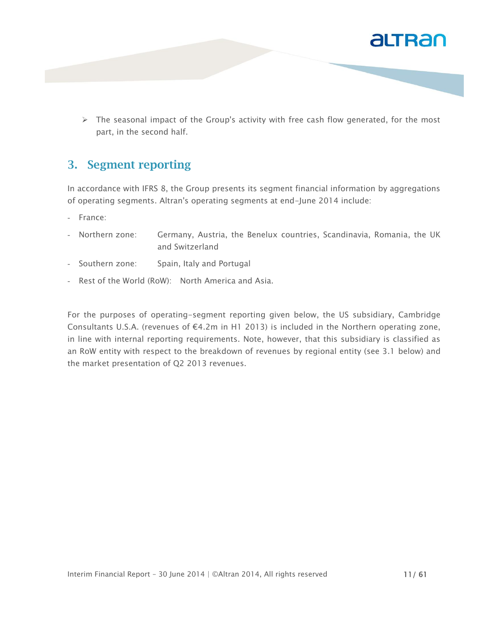

 $\triangleright$  The seasonal impact of the Group's activity with free cash flow generated, for the most part, in the second half.

#### **3. Segment reporting**

In accordance with IFRS 8, the Group presents its segment financial information by aggregations of operating segments. Altran's operating segments at end-June 2014 include:

- France:
- Northern zone: Germany, Austria, the Benelux countries, Scandinavia, Romania, the UK and Switzerland
- Southern zone: Spain, Italy and Portugal
- Rest of the World (RoW): North America and Asia.

For the purposes of operating-segment reporting given below, the US subsidiary, Cambridge Consultants U.S.A. (revenues of €4.2m in H1 2013) is included in the Northern operating zone, in line with internal reporting requirements. Note, however, that this subsidiary is classified as an RoW entity with respect to the breakdown of revenues by regional entity (see 3.1 below) and the market presentation of Q2 2013 revenues.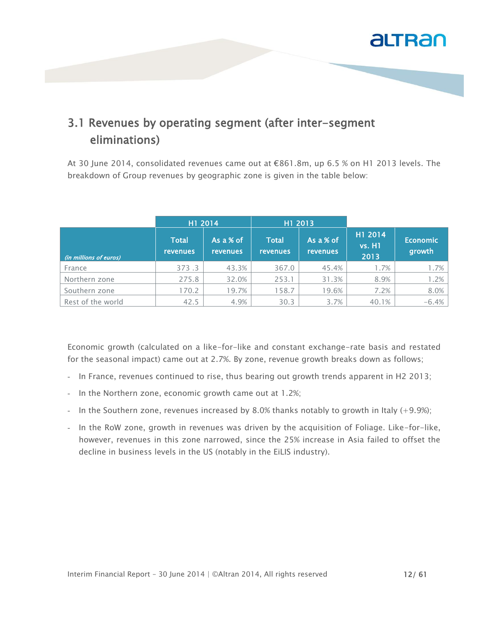

### 3.1 Revenues by operating segment (after inter-segment eliminations)

At 30 June 2014, consolidated revenues came out at €861.8m, up 6.5 % on H1 2013 levels. The breakdown of Group revenues by geographic zone is given in the table below:

|                        | H1 2014                         |                                | H1 2013                         |                       |                                  |                           |
|------------------------|---------------------------------|--------------------------------|---------------------------------|-----------------------|----------------------------------|---------------------------|
| (in millions of euros) | <b>Total</b><br><b>revenues</b> | As a $%$ of<br><b>revenues</b> | <b>Total</b><br><b>revenues</b> | As a % of<br>revenues | H1 2014<br><b>vs. H1</b><br>2013 | <b>Economic</b><br>growth |
| France                 | 373.3                           | 43.3%                          | 367.0                           | 45.4%                 | 1.7%                             | 1.7%                      |
| Northern zone          | 275.8                           | 32.0%                          | 253.1                           | 31.3%                 | 8.9%                             | 1.2%                      |
| Southern zone          | 170.2                           | 19.7%                          | 158.7                           | 19.6%                 | 7.2%                             | 8.0%                      |
| Rest of the world      | 42.5                            | 4.9%                           | 30.3                            | 3.7%                  | 40.1%                            | $-6.4%$                   |

Economic growth (calculated on a like-for-like and constant exchange-rate basis and restated for the seasonal impact) came out at 2.7%. By zone, revenue growth breaks down as follows;

- In France, revenues continued to rise, thus bearing out growth trends apparent in H2 2013;
- In the Northern zone, economic growth came out at 1.2%;
- In the Southern zone, revenues increased by 8.0% thanks notably to growth in Italy (+9.9%);
- In the RoW zone, growth in revenues was driven by the acquisition of Foliage. Like-for-like, however, revenues in this zone narrowed, since the 25% increase in Asia failed to offset the decline in business levels in the US (notably in the EiLIS industry).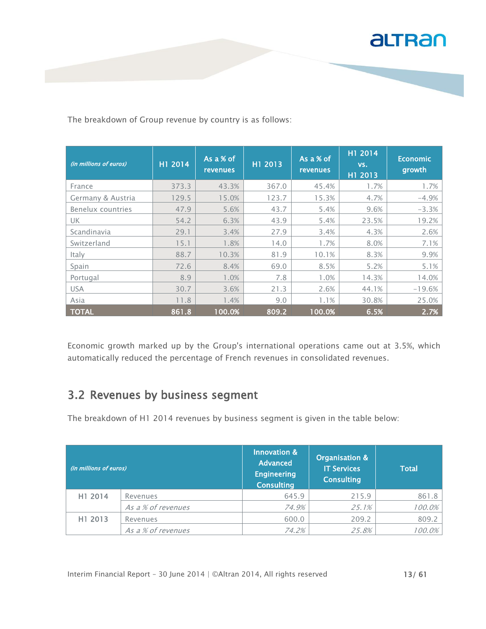

The breakdown of Group revenue by country is as follows:

| (in millions of euros) | H1 2014 | As a % of<br><b>revenues</b> | H1 2013 | As a % of<br><b>revenues</b> | H1 2014<br>VS.<br>H1 2013 | <b>Economic</b><br>growth |
|------------------------|---------|------------------------------|---------|------------------------------|---------------------------|---------------------------|
| France                 | 373.3   | 43.3%                        | 367.0   | 45.4%                        | 1.7%                      | 1.7%                      |
| Germany & Austria      | 129.5   | 15.0%                        | 123.7   | 15.3%                        | 4.7%                      | $-4.9%$                   |
| Benelux countries      | 47.9    | 5.6%                         | 43.7    | 5.4%                         | 9.6%                      | $-3.3%$                   |
| UK.                    | 54.2    | 6.3%                         | 43.9    | 5.4%                         | 23.5%                     | 19.2%                     |
| Scandinavia            | 29.1    | 3.4%                         | 27.9    | 3.4%                         | 4.3%                      | 2.6%                      |
| Switzerland            | 15.1    | 1.8%                         | 14.0    | 1.7%                         | 8.0%                      | 7.1%                      |
| Italy                  | 88.7    | 10.3%                        | 81.9    | 10.1%                        | 8.3%                      | 9.9%                      |
| Spain                  | 72.6    | 8.4%                         | 69.0    | 8.5%                         | 5.2%                      | 5.1%                      |
| Portugal               | 8.9     | 1.0%                         | 7.8     | 1.0%                         | 14.3%                     | 14.0%                     |
| <b>USA</b>             | 30.7    | 3.6%                         | 21.3    | 2.6%                         | 44.1%                     | $-19.6%$                  |
| Asia                   | 11.8    | 1.4%                         | 9.0     | 1.1%                         | 30.8%                     | 25.0%                     |
| <b>TOTAL</b>           | 861.8   | 100.0%                       | 809.2   | 100.0%                       | 6.5%                      | 2.7%                      |

Economic growth marked up by the Group's international operations came out at 3.5%, which automatically reduced the percentage of French revenues in consolidated revenues.

### 3.2 Revenues by business segment

The breakdown of H1 2014 revenues by business segment is given in the table below:

| (in millions of euros) $^{\prime}$ |                    | Innovation &<br><b>Advanced</b><br><b>Engineering</b><br><b>Consulting</b> | Organisation &<br><b>IT Services</b><br><b>Consulting</b> | <b>Total</b> |
|------------------------------------|--------------------|----------------------------------------------------------------------------|-----------------------------------------------------------|--------------|
| H1 2014                            | Revenues           | 645.9                                                                      | 215.9                                                     | 861.8        |
|                                    | As a % of revenues | 74.9%                                                                      | 25.1%                                                     | 100.0%       |
| H1 2013                            | Revenues           | 600.0                                                                      | 209.2                                                     | 809.2        |
|                                    | As a % of revenues | 74.2%                                                                      | 25.8%                                                     | 100.0%       |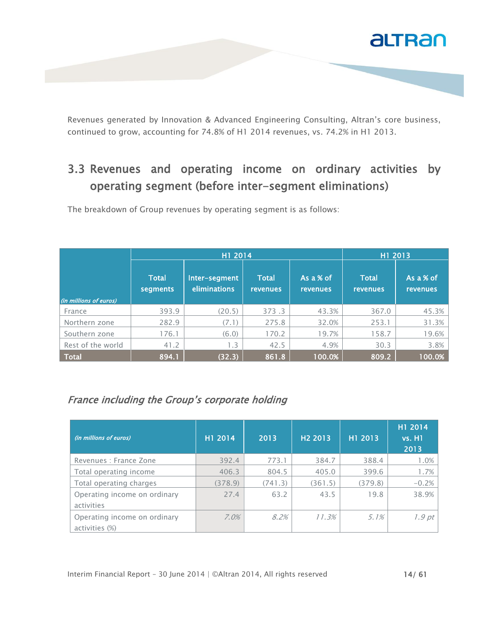

Revenues generated by Innovation & Advanced Engineering Consulting, Altran's core business, continued to grow, accounting for 74.8% of H1 2014 revenues, vs. 74.2% in H1 2013.

### 3.3 Revenues and operating income on ordinary activities by operating segment (before inter-segment eliminations)

The breakdown of Group revenues by operating segment is as follows:

|                        |                          | H1 2014                              | H1 2013                   |                              |                                 |                              |
|------------------------|--------------------------|--------------------------------------|---------------------------|------------------------------|---------------------------------|------------------------------|
| (in millions of euros) | <b>Total</b><br>segments | Inter-segment<br><b>eliminations</b> | <b>Total</b><br>revenues. | As a % of<br><b>revenues</b> | <b>Total</b><br><b>revenues</b> | As a % of<br><b>revenues</b> |
|                        |                          |                                      |                           |                              |                                 |                              |
| France                 | 393.9                    | (20.5)                               | 373.3                     | 43.3%                        | 367.0                           | 45.3%                        |
| Northern zone          | 282.9                    | (7.1)                                | 275.8                     | 32.0%                        | 253.1                           | 31.3%                        |
| Southern zone          | 176.1                    | (6.0)                                | 170.2                     | 19.7%                        | 158.7                           | 19.6%                        |
| Rest of the world      | 41.2                     | 1.3                                  | 42.5                      | 4.9%                         | 30.3                            | 3.8%                         |
| <b>Total</b>           | 894.1                    | (32.3)                               | 861.8                     | 100.0%                       | 809.2                           | 100.0%                       |

#### France including the Group's corporate holding

| (in millions of euros)                         | H1 2014 | 2013    | H <sub>2</sub> 2013 | H1 2013 | H1 2014<br><b>vs. H1</b><br>2013 |
|------------------------------------------------|---------|---------|---------------------|---------|----------------------------------|
| Revenues : France Zone                         | 392.4   | 773.1   | 384.7               | 388.4   | 1.0%                             |
| Total operating income                         | 406.3   | 804.5   | 405.0               | 399.6   | 1.7%                             |
| Total operating charges                        | (378.9) | (741.3) | (361.5)             | (379.8) | $-0.2%$                          |
| Operating income on ordinary<br>activities     | 27.4    | 63.2    | 43.5                | 19.8    | 38.9%                            |
| Operating income on ordinary<br>activities (%) | $7.0\%$ | 8.2%    | 11.3%               | $5.1\%$ | 1.9pt                            |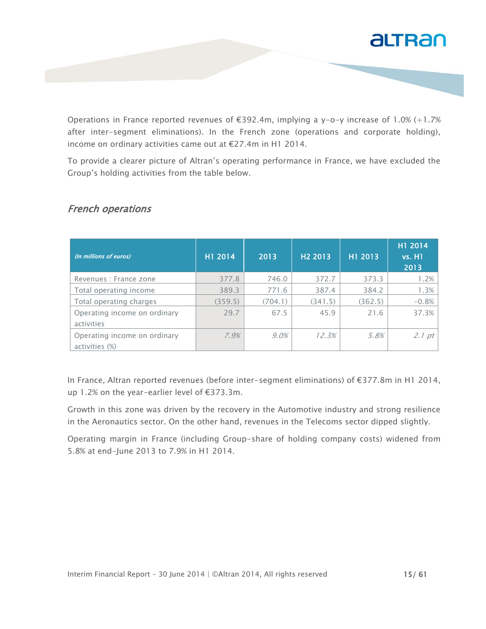

Operations in France reported revenues of  $\epsilon$ 392.4m, implying a y-o-y increase of 1.0% (+1.7% after inter-segment eliminations). In the French zone (operations and corporate holding), income on ordinary activities came out at €27.4m in H1 2014.

To provide a clearer picture of Altran's operating performance in France, we have excluded the Group's holding activities from the table below.

| (in millions of euros)                         | H1 2014 | 2013    | H <sub>2</sub> 2013 | H1 2013 | H1 2014<br><b>vs. H1</b><br>2013 |
|------------------------------------------------|---------|---------|---------------------|---------|----------------------------------|
| Revenues : France zone                         | 377.8   | 746.0   | 372.7               | 373.3   | 1.2%                             |
| Total operating income                         | 389.3   | 771.6   | 387.4               | 384.2   | 1.3%                             |
| Total operating charges                        | (359.5) | (704.1) | (341.5)             | (362.5) | $-0.8%$                          |
| Operating income on ordinary<br>activities     | 29.7    | 67.5    | 45.9                | 21.6    | 37.3%                            |
| Operating income on ordinary<br>activities (%) | 7.9%    | $9.0\%$ | 12.3%               | 5.8%    | 2.1 pt                           |

#### French operations

In France, Altran reported revenues (before inter-segment eliminations) of €377.8m in H1 2014, up 1.2% on the year-earlier level of €373.3m.

Growth in this zone was driven by the recovery in the Automotive industry and strong resilience in the Aeronautics sector. On the other hand, revenues in the Telecoms sector dipped slightly.

Operating margin in France (including Group-share of holding company costs) widened from 5.8% at end-June 2013 to 7.9% in H1 2014.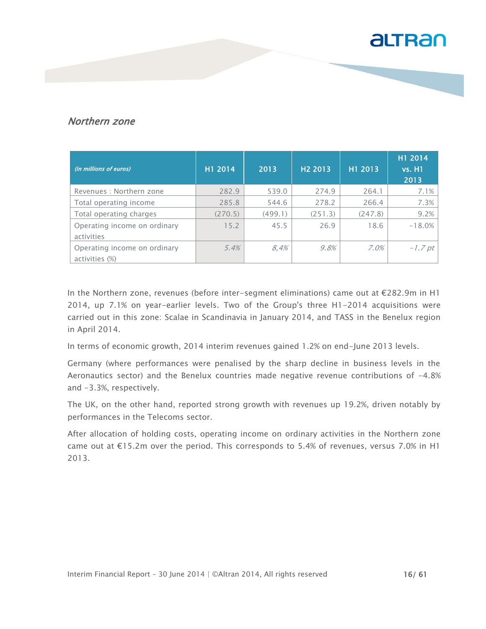#### Northern zone

| (in millions of euros)       | H1 2014 | 2013    | H <sub>2</sub> 2013 | H1 2013 | H1 2014<br><b>vs. H1</b><br>2013 |
|------------------------------|---------|---------|---------------------|---------|----------------------------------|
| Revenues : Northern zone     | 282.9   | 539.0   | 274.9               | 264.1   | 7.1%                             |
| Total operating income       | 285.8   | 544.6   | 278.2               | 266.4   | 7.3%                             |
| Total operating charges      | (270.5) | (499.1) | (251.3)             | (247.8) | 9.2%                             |
| Operating income on ordinary | 15.2    | 45.5    | 26.9                | 18.6    | $-18.0%$                         |
| activities                   |         |         |                     |         |                                  |
| Operating income on ordinary | 5.4%    | 8.4%    | 9.8%                | $7.0\%$ | $-1.7$ pt                        |
| activities (%)               |         |         |                     |         |                                  |

In the Northern zone, revenues (before inter-segment eliminations) came out at €282.9m in H1 2014, up 7.1% on year-earlier levels. Two of the Group's three H1-2014 acquisitions were carried out in this zone: Scalae in Scandinavia in January 2014, and TASS in the Benelux region in April 2014.

In terms of economic growth, 2014 interim revenues gained 1.2% on end-June 2013 levels.

Germany (where performances were penalised by the sharp decline in business levels in the Aeronautics sector) and the Benelux countries made negative revenue contributions of -4.8% and -3.3%, respectively.

The UK, on the other hand, reported strong growth with revenues up 19.2%, driven notably by performances in the Telecoms sector.

After allocation of holding costs, operating income on ordinary activities in the Northern zone came out at  $E15.2m$  over the period. This corresponds to 5.4% of revenues, versus 7.0% in H1 2013.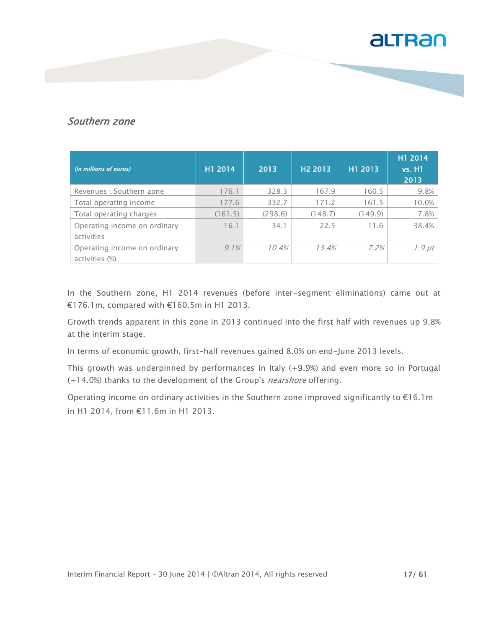#### Southern zone

| (in millions of euros)       | H1 2014 | 2013    | H <sub>2</sub> 2013 | H1 2013 | H1 2014<br><b>vs. H1</b><br>2013 |
|------------------------------|---------|---------|---------------------|---------|----------------------------------|
| Revenues : Southern zone     | 176.1   | 328.3   | 167.9               | 160.5   | 9.8%                             |
| Total operating income       | 177.6   | 332.7   | 171.2               | 161.5   | 10.0%                            |
| Total operating charges      | (161.5) | (298.6) | (148.7)             | (149.9) | 7.8%                             |
| Operating income on ordinary | 16.1    | 34.1    | 22.5                | 11.6    | 38.4%                            |
| activities                   |         |         |                     |         |                                  |
| Operating income on ordinary | $9.1\%$ | 10.4%   | 13.4%               | 7.2%    | 1.9 pt                           |
| activities (%)               |         |         |                     |         |                                  |

In the Southern zone, H1 2014 revenues (before inter-segment eliminations) came out at €176.1m, compared with €160.5m in H1 2013.

Growth trends apparent in this zone in 2013 continued into the first half with revenues up 9.8% at the interim stage.

In terms of economic growth, first-half revenues gained 8.0% on end-June 2013 levels.

This growth was underpinned by performances in Italy  $(+9.9%)$  and even more so in Portugal (+14.0%) thanks to the development of the Group's nearshore offering.

Operating income on ordinary activities in the Southern zone improved significantly to €16.1m in H1 2014, from €11.6m in H1 2013.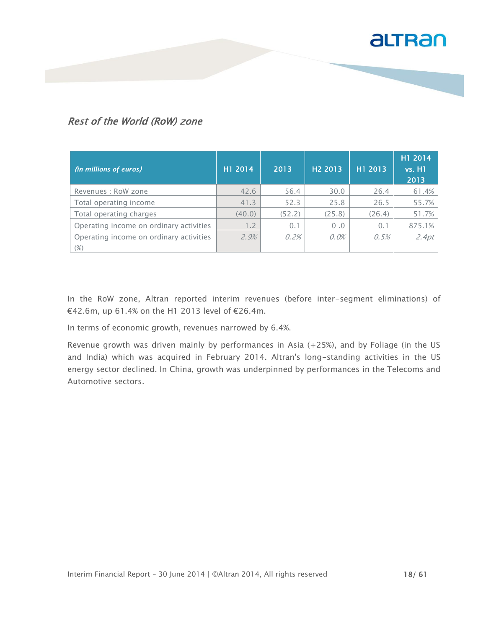#### Rest of the World (RoW) zone

| (in millions of euros)                  | H1 2014 | 2013   | H <sub>2</sub> 2013 | H1 2013 | H1 2014<br><b>vs. H1</b><br>2013 |
|-----------------------------------------|---------|--------|---------------------|---------|----------------------------------|
| Revenues : RoW zone                     | 42.6    | 56.4   | 30.0                | 26.4    | 61.4%                            |
| Total operating income                  | 41.3    | 52.3   | 25.8                | 26.5    | 55.7%                            |
| Total operating charges                 | (40.0)  | (52.2) | (25.8)              | (26.4)  | 51.7%                            |
| Operating income on ordinary activities | 1.2     | 0.1    | 0.0                 | 0.1     | 875.1%                           |
| Operating income on ordinary activities | 2.9%    | 0.2%   | $0.0\%$             | 0.5%    | 2.4pt                            |
| $(\%)$                                  |         |        |                     |         |                                  |

In the RoW zone, Altran reported interim revenues (before inter-segment eliminations) of €42.6m, up 61.4% on the H1 2013 level of €26.4m.

In terms of economic growth, revenues narrowed by 6.4%.

Revenue growth was driven mainly by performances in Asia (+25%), and by Foliage (in the US and India) which was acquired in February 2014. Altran's long-standing activities in the US energy sector declined. In China, growth was underpinned by performances in the Telecoms and Automotive sectors.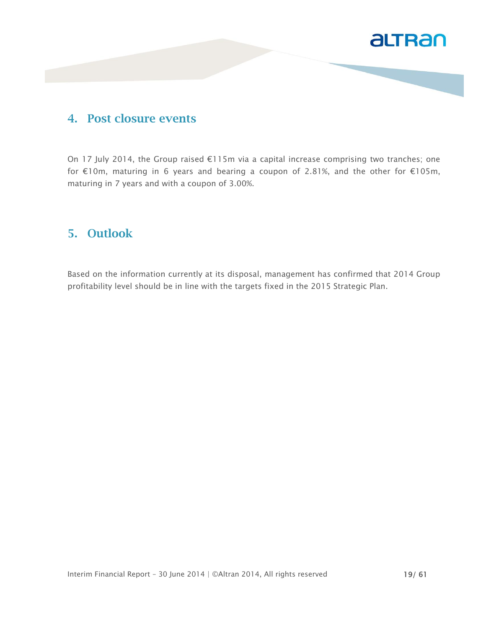

#### **4. Post closure events**

On 17 July 2014, the Group raised €115m via a capital increase comprising two tranches; one for €10m, maturing in 6 years and bearing a coupon of 2.81%, and the other for €105m, maturing in 7 years and with a coupon of 3.00%.

#### **5. Outlook**

Based on the information currently at its disposal, management has confirmed that 2014 Group profitability level should be in line with the targets fixed in the 2015 Strategic Plan.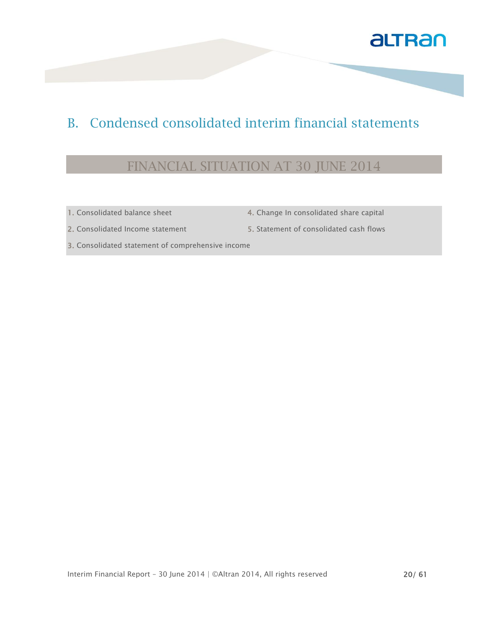

### B. Condensed consolidated interim financial statements

### FINANCIAL SITUATION AT 30 JUNE 2014

- 
- 1. Consolidated balance sheet 4. Change In consolidated share capital
- 2. Consolidated Income statement 5. Statement of consolidated cash flows
	-

3. Consolidated statement of comprehensive income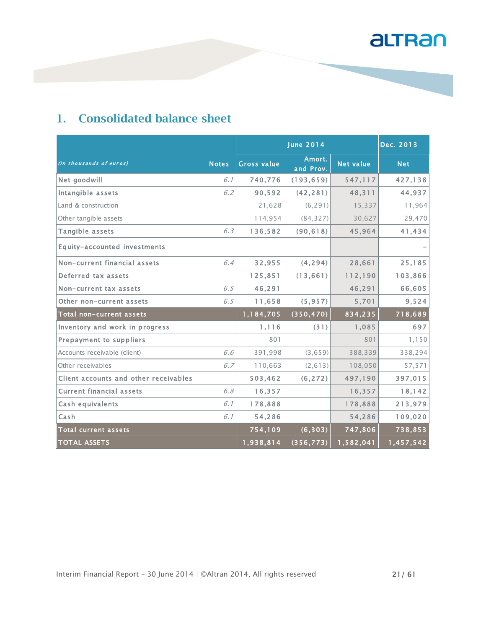### **1. Consolidated balance sheet**

|                                       |              |                    | Dec. 2013           |                  |            |
|---------------------------------------|--------------|--------------------|---------------------|------------------|------------|
| (in thousands of euros)               | <b>Notes</b> | <b>Gross value</b> | Amort.<br>and Prov. | <b>Net value</b> | <b>Net</b> |
| Net goodwill                          | 6.1          | 740,776            | (193, 659)          | 547,117          | 427,138    |
| Intangible assets                     | 6.2          | 90,592             | (42, 281)           | 48,311           | 44,937     |
| Land & construction                   |              | 21,628             | (6, 291)            | 15,337           | 11,964     |
| Other tangible assets                 |              | 114,954            | (84, 327)           | 30,627           | 29,470     |
| Tangible assets                       | 6.3          | 136,582            | (90, 618)           | 45,964           | 41,434     |
| Equity-accounted investments          |              |                    |                     |                  |            |
| Non-current financial assets          | 6.4          | 32,955             | (4, 294)            | 28,661           | 25,185     |
| Deferred tax assets                   |              | 125,851            | (13, 661)           | 112,190          | 103,866    |
| Non-current tax assets                | 6.5          | 46,291             |                     | 46,291           | 66,605     |
| Other non-current assets              | 6.5          | 11,658             | (5, 957)            | 5,701            | 9,524      |
| Total non-current assets              |              | 1,184,705          | (350, 470)          | 834,235          | 718,689    |
| Inventory and work in progress        |              | 1,116              | (31)                | 1,085            | 697        |
| <b>Prepayment to suppliers</b>        |              | 801                |                     | 801              | 1,150      |
| Accounts receivable (client)          | 6.6          | 391,998            | (3,659)             | 388,339          | 338,294    |
| Other receivables                     | 6.7          | 110,663            | (2, 613)            | 108,050          | 57,571     |
| Client accounts and other receivables |              | 503,462            | (6, 272)            | 497,190          | 397,015    |
| <b>Current financial assets</b>       | 6.8          | 16,357             |                     | 16,357           | 18,142     |
| Cash equivalents                      | 6.1          | 178,888            |                     | 178,888          | 213,979    |
| Cash                                  | 6.1          | 54,286             |                     | 54,286           | 109,020    |
| <b>Total current assets</b>           |              | 754,109            | (6, 303)            | 747,806          | 738,853    |
| <b>TOTAL ASSETS</b>                   |              | 1,938,814          | (356, 773)          | 1,582,041        | 1,457,542  |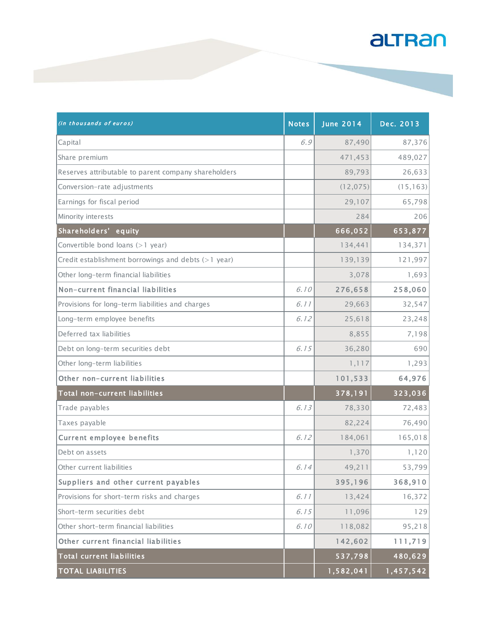| (in thousands of euros)                               | <b>Notes</b> | <b>June 2014</b> | Dec. 2013 |
|-------------------------------------------------------|--------------|------------------|-----------|
| Capital                                               | 6.9          | 87,490           | 87,376    |
| Share premium                                         |              | 471,453          | 489,027   |
| Reserves attributable to parent company shareholders  |              | 89,793           | 26,633    |
| Conversion-rate adjustments                           |              | (12, 075)        | (15, 163) |
| Earnings for fiscal period                            |              | 29,107           | 65,798    |
| Minority interests                                    |              | 284              | 206       |
| Shareholders' equity                                  |              | 666,052          | 653,877   |
| Convertible bond loans (>1 year)                      |              | 134,441          | 134,371   |
| Credit establishment borrowings and debts $(>1$ year) |              | 139,139          | 121,997   |
| Other long-term financial liabilities                 |              | 3,078            | 1,693     |
| Non-current financial liabilities                     | 6.10         | 276,658          | 258,060   |
| Provisions for long-term liabilities and charges      | 6.11         | 29,663           | 32,547    |
| Long-term employee benefits                           | 6.12         | 25,618           | 23,248    |
| Deferred tax liabilities                              |              | 8,855            | 7,198     |
| Debt on long-term securities debt                     | 6.15         | 36,280           | 690       |
| Other long-term liabilities                           |              | 1, 117           | 1,293     |
| Other non-current liabilities                         |              | 101,533          | 64,976    |
| Total non-current liabilities                         |              | 378,191          | 323,036   |
| Trade payables                                        | 6.13         | 78,330           | 72,483    |
| Taxes payable                                         |              | 82,224           | 76,490    |
| <b>Current employee benefits</b>                      | 6.12         | 184,061          | 165,018   |
| Debt on assets                                        |              | 1,370            | 1,120     |
| Other current liabilities                             | 6.14         | 49,211           | 53,799    |
| Suppliers and other current payables                  |              | 395,196          | 368,910   |
| Provisions for short-term risks and charges           | 6.11         | 13,424           | 16,372    |
| Short-term securities debt                            | 6.15         | 11,096           | 129       |
| Other short-term financial liabilities                | 6.10         | 118,082          | 95,218    |
| Other current financial liabilities                   |              | 142,602          | 111,719   |
| <b>Total current liabilities</b>                      |              | 537,798          | 480,629   |
| <b>TOTAL LIABILITIES</b>                              |              | 1,582,041        | 1,457,542 |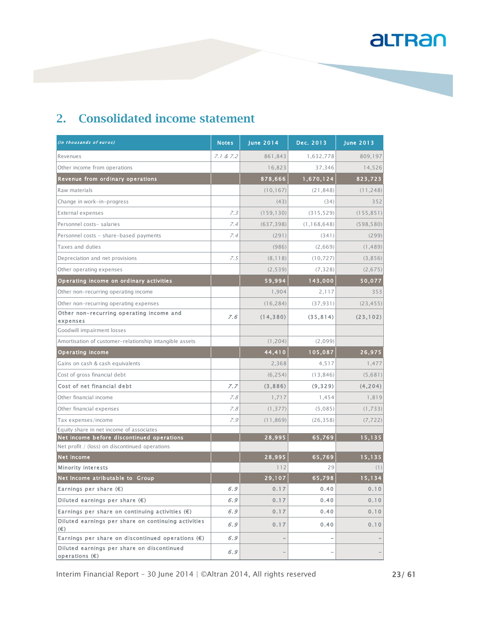| (In thousands of euros)                                        | <b>Notes</b> | <b>June 2014</b> | Dec. 2013     | <b>June 2013</b> |
|----------------------------------------------------------------|--------------|------------------|---------------|------------------|
| Revenues                                                       | 7.1 & 7.2    | 861,843          | 1,632,778     | 809,197          |
| Other income from operations                                   |              | 16,823           | 37,346        | 14,526           |
| Revenue from ordinary operations                               |              | 878,666          | 1,670,124     | 823,723          |
| Raw materials                                                  |              | (10, 167)        | (21, 848)     | (11, 248)        |
| Change in work-in-progress                                     |              | (43)             | (34)          | 352              |
| External expenses                                              | 7.3          | (159, 130)       | (315, 529)    | (155, 851)       |
| Personnel costs- salaries                                      | 7.4          | (637, 398)       | (1, 168, 648) | (598, 580)       |
| Personnel costs - share-based payments                         | 7.4          | (291)            | (341)         | (299)            |
| Taxes and duties                                               |              | (986)            | (2,669)       | (1, 489)         |
| Depreciation and net provisions                                | 7.5          | (8, 118)         | (10, 727)     | (3,856)          |
| Other operating expenses                                       |              | (2, 539)         | (7, 328)      | (2,675)          |
| Operating income on ordinary activities                        |              | 59,994           | 143,000       | 50,077           |
| Other non-recurring operating income                           |              | 1,904            | 2,117         | 353              |
| Other non-recurring operating expenses                         |              | (16, 284)        | (37, 931)     | (23, 455)        |
| Other non-recurring operating income and<br>expenses           | 7.6          | (14, 380)        | (35, 814)     | (23, 102)        |
| Goodwill impairment losses                                     |              |                  |               |                  |
| Amortisation of customer-relationship intangible assets        |              | (1, 204)         | (2,099)       |                  |
| <b>Operating income</b>                                        |              | 44,410           | 105,087       | 26,975           |
| Gains on cash & cash equivalents                               |              | 2,368            | 4,517         | 1,477            |
| Cost of gross financial debt                                   |              | (6, 254)         | (13, 846)     | (5,681)          |
| Cost of net financial debt                                     | 7.7          | (3,886)          | (9, 329)      | (4, 204)         |
| Other financial income                                         | 7.8          | 1,717            | 1,454         | 1,819            |
| Other financial expenses                                       | 7.8          | (1, 377)         | (5,085)       | (1,733)          |
| Tax expenses/income                                            | 7.9          | (11, 869)        | (26, 358)     | (7, 722)         |
| Equity share in net income of associates                       |              |                  |               |                  |
| Net income before discontinued operations                      |              | 28,995           | 65,769        | 15,135           |
| Net profit / (loss) on discontinued operations                 |              |                  |               |                  |
| <b>Net income</b>                                              |              | 28,995           | 65,769        | 15,135           |
| <b>Minority interests</b>                                      |              | 112              | 29            | (1)              |
| Net Income atributable to Group                                |              | 29,107           | 65,798        | 15,134           |
| Earnings per share $(\epsilon)$                                | 6.9          | 0.17             | 0.40          | 0.10             |
| Diluted earnings per share $(\epsilon)$                        | 6.9          | 0.17             | 0.40          | 0.10             |
| Earnings per share on continuing activities $(\epsilon)$       | 6.9          | 0.17             | 0.40          | 0.10             |
| Diluted earnings per share on continuing activities<br>(€)     | 6.9          | 0.17             | 0.40          | 0.10             |
| Earnings per share on discontinued operations $(\epsilon)$     | 6.9          |                  |               |                  |
| Diluted earnings per share on discontinued<br>operations $(E)$ | 6.9          |                  |               |                  |

Interim Financial Report - 30 June 2014 | ©Altran 2014, All rights reserved 23/ 61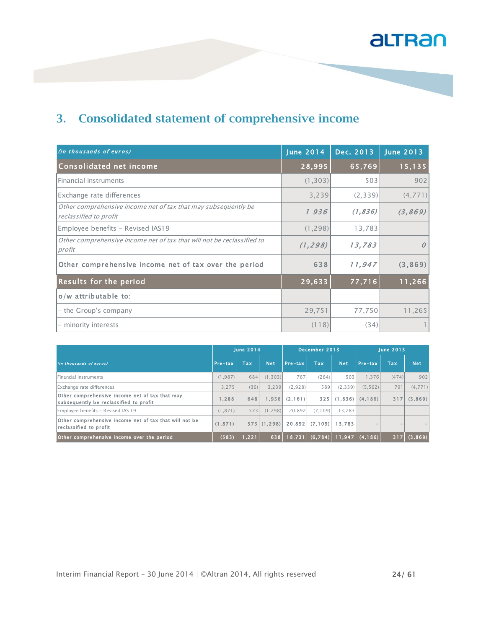### **3. Consolidated statement of comprehensive income**

| (in thousands of euros)                                                                  | <b>June 2014</b> | Dec. 2013 | <b>June 2013</b> |
|------------------------------------------------------------------------------------------|------------------|-----------|------------------|
| Consolidated net income                                                                  | 28,995           | 65,769    | 15,135           |
| Financial instruments                                                                    | (1, 303)         | 503       | 902              |
| Exchange rate differences                                                                | 3,239            | (2,339)   | (4, 771)         |
| Other comprehensive income net of tax that may subsequently be<br>reclassified to profit | 1936             | (1, 836)  | (3, 869)         |
| Employee benefits - Revised IAS19                                                        | (1, 298)         | 13,783    |                  |
| Other comprehensive income net of tax that will not be reclassified to<br>profit         | (1, 298)         | 13,783    | 0                |
| Other comprehensive income net of tax over the period                                    | 638              | 11,947    | (3, 869)         |
| <b>Results for the period</b>                                                            | 29,633           | 77,716    | 11,266           |
| o/w attributable to:                                                                     |                  |           |                  |
| - the Group's company                                                                    | 29,751           | 77,750    | 11,265           |
| - minority interests                                                                     | (118)            | (34)      |                  |

|                                                                                          | <b>June 2014</b> |       |            | December 2013 |            |            | <b>June 2013</b> |            |            |
|------------------------------------------------------------------------------------------|------------------|-------|------------|---------------|------------|------------|------------------|------------|------------|
| (In thousands of euros)                                                                  | Pre-tax          | Tax   | <b>Net</b> | Pre-tax       | <b>Tax</b> | <b>Net</b> | Pre-tax          | <b>Tax</b> | <b>Net</b> |
| lFinancial instruments                                                                   | (1.987)          | 684   | (1.303)    | 767           | (264)      | 503        | 1.376            | (474)      | 902        |
| Exchange rate differences                                                                | 3.275            | (36)  | 3.239      | (2,928)       | 589        | (2, 339)   | (5, 562)         | 791        | (4,771)    |
| Other comprehensive income net of tax that may<br>subsequently be reclassified to profit | 1,288            | 648   | 1.936      | (2, 161)      | 325        | (1, 836)   | (4.186)          | 317        | (3,869)    |
| Employee benefits - Revised IAS 19                                                       | (1.871)          | 573   | (1.298)    | 20.892        | (7.109)    | 13.783     |                  |            |            |
| Other comprehensive income net of tax that will not be<br>reclassified to profit         | (1.871)          | 573   | (1.298)    | 20.892        | (7, 109)   | 13.783     | -                |            |            |
| Other comprehensive income over the period                                               | (583)            | , 221 | 638        | 18.731        | (6,784)    | 11,947     | (4, 186)         | 317        | (3,869)    |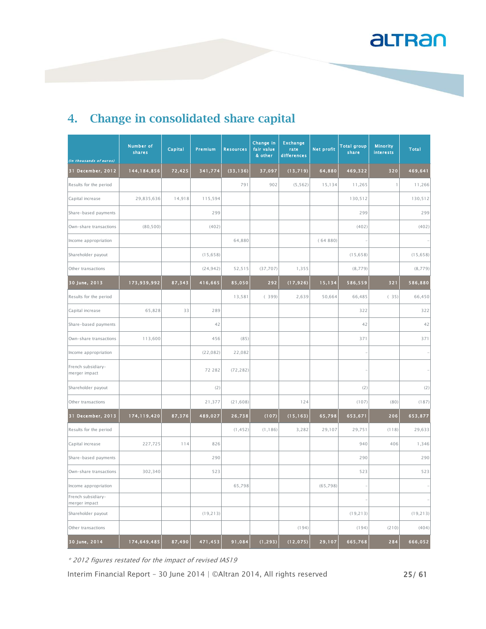| (In thousands of euros)             | <b>Number of</b><br>shares | Capital | Premium   | <b>Resources</b> | Change in<br>fair value<br>& other | <b>Exchange</b><br>rate<br>differences | <b>Net profit</b> | <b>Total group</b><br>share | <b>Minority</b><br><b>interests</b> | Total     |
|-------------------------------------|----------------------------|---------|-----------|------------------|------------------------------------|----------------------------------------|-------------------|-----------------------------|-------------------------------------|-----------|
| 31 December, 2012                   | 144, 184, 856              | 72,425  | 341,774   | (33, 136)        | 37,097                             | (13, 719)                              | 64,880            | 469,322                     | 320                                 | 469,641   |
| Results for the period              |                            |         |           | 791              | 902                                | (5, 562)                               | 15,134            | 11,265                      | 1                                   | 11,266    |
| Capital increase                    | 29,835,636                 | 14,918  | 115,594   |                  |                                    |                                        |                   | 130,512                     |                                     | 130,512   |
| Share-based payments                |                            |         | 299       |                  |                                    |                                        |                   | 299                         |                                     | 299       |
| Own-share transactions              | (80, 500)                  |         | (402)     |                  |                                    |                                        |                   | (402)                       |                                     | (402)     |
| Income appropriation                |                            |         |           | 64,880           |                                    |                                        | (64880)           |                             |                                     |           |
| Shareholder payout                  |                            |         | (15, 658) |                  |                                    |                                        |                   | (15, 658)                   |                                     | (15, 658) |
| Other transactions                  |                            |         | (24, 942) | 52,515           | (37, 707)                          | 1,355                                  |                   | (8,779)                     |                                     | (8, 779)  |
| 30 June, 2013                       | 173,939,992                | 87,343  | 416,665   | 85,050           | 292                                | (17, 926)                              | 15,134            | 586,559                     | 321                                 | 586,880   |
| Results for the period              |                            |         |           | 13,581           | (399)                              | 2,639                                  | 50,664            | 66,485                      | (35)                                | 66,450    |
| Capital increase                    | 65,828                     | 33      | 289       |                  |                                    |                                        |                   | 322                         |                                     | 322       |
| Share-based payments                |                            |         | 42        |                  |                                    |                                        |                   | 42                          |                                     | 42        |
| Own-share transactions              | 113,600                    |         | 456       | (85)             |                                    |                                        |                   | 371                         |                                     | 371       |
| Income appropriation                |                            |         | (22, 082) | 22,082           |                                    |                                        |                   |                             |                                     |           |
| French subsidiary-<br>merger impact |                            |         | 72 282    | (72, 282)        |                                    |                                        |                   |                             |                                     |           |
| Shareholder payout                  |                            |         | (2)       |                  |                                    |                                        |                   | (2)                         |                                     | (2)       |
| Other transactions                  |                            |         | 21,377    | (21, 608)        |                                    | 124                                    |                   | (107)                       | (80)                                | (187)     |
| 31 December, 2013                   | 174,119,420                | 87,376  | 489,027   | 26,738           | (107)                              | (15, 163)                              | 65,798            | 653,671                     | 206                                 | 653,877   |
| Results for the period              |                            |         |           | (1, 452)         | (1, 186)                           | 3,282                                  | 29,107            | 29,751                      | (118)                               | 29,633    |
| Capital increase                    | 227,725                    | 114     | 826       |                  |                                    |                                        |                   | 940                         | 406                                 | 1,346     |
| Share-based payments                |                            |         | 290       |                  |                                    |                                        |                   | 290                         |                                     | 290       |
| Own-share transactions              | 302,340                    |         | 523       |                  |                                    |                                        |                   | 523                         |                                     | 523       |
| Income appropriation                |                            |         |           | 65,798           |                                    |                                        | (65, 798)         |                             |                                     |           |
| French subsidiary-<br>merger impact |                            |         |           |                  |                                    |                                        |                   |                             |                                     |           |
| Shareholder payout                  |                            |         | (19, 213) |                  |                                    |                                        |                   | (19, 213)                   |                                     | (19, 213) |
| Other transactions                  |                            |         |           |                  |                                    | (194)                                  |                   | (194)                       | (210)                               | (404)     |
| 30 June, 2014                       | 174,649,485                | 87,490  | 471,453   | 91,084           | (1, 293)                           | (12, 075)                              | 29,107            | 665,768                     | 284                                 | 666,052   |

### **4. Change in consolidated share capital**

\* 2012 figures restated for the impact of revised IAS19

Interim Financial Report - 30 June 2014 | ©Altran 2014, All rights reserved 25/ 61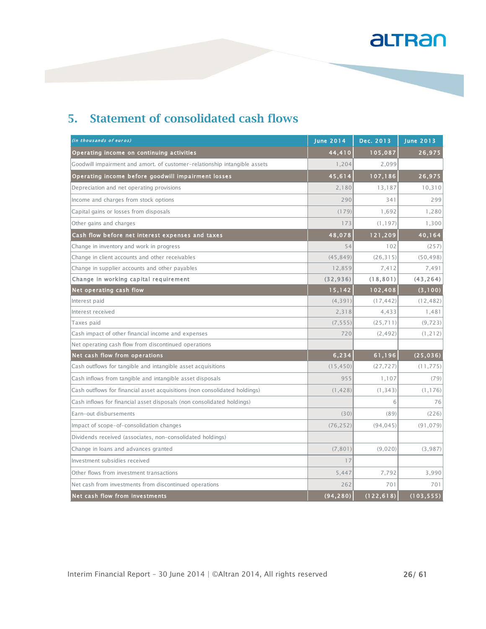| (in thousands of euros)                                                    | <b>June 2014</b> | Dec. 2013  | <b>June 2013</b> |
|----------------------------------------------------------------------------|------------------|------------|------------------|
| Operating income on continuing activities                                  | 44,410           | 105,087    | 26,975           |
| Goodwill impairment and amort. of customer-relationship intangible assets  | 1.204            | 2.099      |                  |
| Operating income before goodwill impairment losses                         | 45,614           | 107,186    | 26,975           |
| Depreciation and net operating provisions                                  | 2,180            | 13,187     | 10,310           |
| Income and charges from stock options                                      | 290              | 341        | 299              |
| Capital gains or losses from disposals                                     | (179)            | 1,692      | 1,280            |
| Other gains and charges                                                    | 173              | (1, 197)   | 1,300            |
| Cash flow before net interest expenses and taxes                           | 48,078           | 121,209    | 40,164           |
| Change in inventory and work in progress                                   | 54               | 102        | (257)            |
| Change in client accounts and other receivables                            | (45.849)         | (26.315)   | (50, 498)        |
| Change in supplier accounts and other payables                             | 12,859           | 7,412      | 7,491            |
| Change in working capital requirement                                      | (32, 936)        | (18, 801)  | (43, 264)        |
| Net operating cash flow                                                    | 15,142           | 102,408    | (3, 100)         |
| Interest paid                                                              | (4, 391)         | (17, 442)  | (12, 482)        |
| Interest received                                                          | 2,318            | 4,433      | 1,481            |
| Taxes paid                                                                 | (7, 555)         | (25, 711)  | (9, 723)         |
| Cash impact of other financial income and expenses                         | 720              | (2, 492)   | (1, 212)         |
| Net operating cash flow from discontinued operations                       |                  |            |                  |
| Net cash flow from operations                                              | 6,234            | 61,196     | (25, 036)        |
| Cash outflows for tangible and intangible asset acquisitions               | (15, 450)        | (27, 727)  | (11, 775)        |
| Cash inflows from tangible and intangible asset disposals                  | 955              | 1,107      | (79)             |
| Cash outflows for financial asset acquisitions (non consolidated holdings) | (1, 428)         | (1, 343)   | (1, 176)         |
| Cash inflows for financial asset disposals (non consolidated holdings)     |                  | 6          | 76               |
| Earn-out disbursements                                                     | (30)             | (89)       | (226)            |
| Impact of scope-of-consolidation changes                                   | (76, 252)        | (94, 045)  | (91, 079)        |
| Dividends received (associates, non-consolidated holdings)                 |                  |            |                  |
| Change in loans and advances granted                                       | (7, 801)         | (9.020)    | (3,987)          |
| Investment subsidies received                                              | 17               |            |                  |
| Other flows from investment transactions                                   | 5,447            | 7,792      | 3,990            |
| Net cash from investments from discontinued operations                     | 262              | 701        | 701              |
| Net cash flow from investments                                             | (94, 280)        | (122, 618) | (103, 555)       |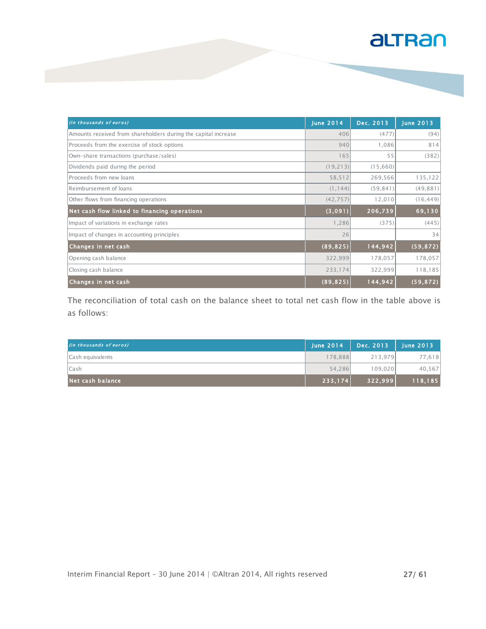| (in thousands of euros)                                        | <b>June 2014</b> | Dec. 2013 | <b>June 2013</b> |
|----------------------------------------------------------------|------------------|-----------|------------------|
| Amounts received from shareholders during the capital increase | 406              | (477)     | (94)             |
| Proceeds from the exercise of stock options                    | 940              | 1.086     | 814              |
| Own-share transactions (purchase/sales)                        | 165              | 55        | (382)            |
| Dividends paid during the period                               | (19, 213)        | (15,660)  |                  |
| Proceeds from new loans                                        | 58,512           | 269,566   | 135,122          |
| Reimbursement of loans                                         | (1, 144)         | (59, 841) | (49, 881)        |
| Other flows from financing operations                          | (42, 757)        | 12,010    | (16, 449)        |
| Net cash flow linked to financing operations                   | (3,091)          | 206,739   | 69,130           |
| Impact of variations in exchange rates                         | 1,286            | (375)     | (445)            |
| Impact of changes in accounting principles                     | 26               |           | 34               |
| Changes in net cash                                            | (89, 825)        | 144,942   | (59, 872)        |
| Opening cash balance                                           | 322,999          | 178,057   | 178,057          |
| Closing cash balance                                           | 233,174          | 322,999   | 118,185          |
| Changes in net cash                                            | (89, 825)        | 144,942   | (59, 872)        |

The reconciliation of total cash on the balance sheet to total net cash flow in the table above is as follows:

| (in thousands of euros) | <b>June 2014</b> | Dec. 2013 | <b>June 2013</b> |
|-------------------------|------------------|-----------|------------------|
| Cash equivalents        | 178,888          | 213.979   | 77,618           |
| <b>Cash</b>             | 54,286           | 109.020   | 40,567           |
| Net cash balance        | 233,174          | 322,999   | 118,185          |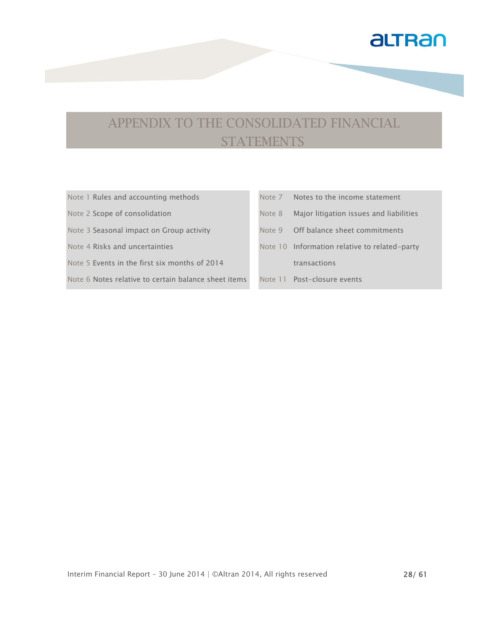

## APPENDIX TO THE CONSOLIDATED FINANCIAL **STATEMENTS**

| Note 1 Rules and accounting methods                  |        | Note 7 Notes to the income statement          |
|------------------------------------------------------|--------|-----------------------------------------------|
| Note 2 Scope of consolidation                        | Note 8 | Major litigation issues and liabilities       |
| Note 3 Seasonal impact on Group activity             |        | Note 9 Off balance sheet commitments          |
| Note 4 Risks and uncertainties                       |        | Note 10 Information relative to related-party |
| Note 5 Events in the first six months of 2014        |        | transactions                                  |
| Note 6 Notes relative to certain balance sheet items |        | Note 11 Post-closure events                   |
|                                                      |        |                                               |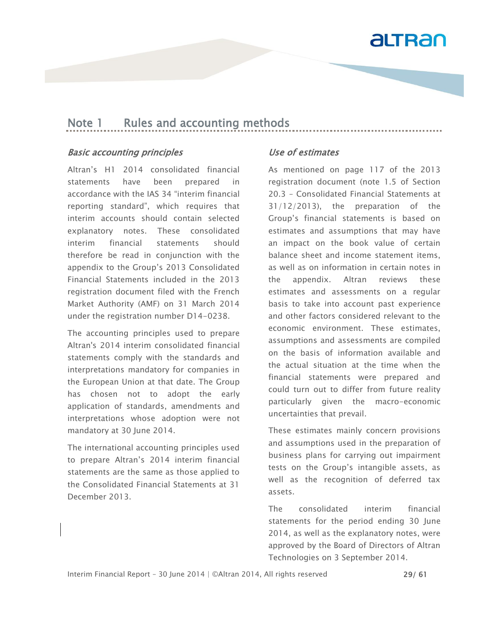

#### Note 1 Rules and accounting methods

#### Basic accounting principles

Altran's H1 2014 consolidated financial statements have been prepared in accordance with the IAS 34 "interim financial reporting standard", which requires that interim accounts should contain selected explanatory notes. These consolidated interim financial statements should therefore be read in conjunction with the appendix to the Group's 2013 Consolidated Financial Statements included in the 2013 registration document filed with the French Market Authority (AMF) on 31 March 2014 under the registration number D14-0238.

The accounting principles used to prepare Altran's 2014 interim consolidated financial statements comply with the standards and interpretations mandatory for companies in the European Union at that date. The Group has chosen not to adopt the early application of standards, amendments and interpretations whose adoption were not mandatory at 30 June 2014.

The international accounting principles used to prepare Altran's 2014 interim financial statements are the same as those applied to the Consolidated Financial Statements at 31 December 2013.

#### Use of estimates

As mentioned on page 117 of the 2013 registration document (note 1.5 of Section 20.3 – Consolidated Financial Statements at 31/12/2013), the preparation of the Group's financial statements is based on estimates and assumptions that may have an impact on the book value of certain balance sheet and income statement items, as well as on information in certain notes in the appendix. Altran reviews these estimates and assessments on a regular basis to take into account past experience and other factors considered relevant to the economic environment. These estimates, assumptions and assessments are compiled on the basis of information available and the actual situation at the time when the financial statements were prepared and could turn out to differ from future reality particularly given the macro-economic uncertainties that prevail.

These estimates mainly concern provisions and assumptions used in the preparation of business plans for carrying out impairment tests on the Group's intangible assets, as well as the recognition of deferred tax assets.

The consolidated interim financial statements for the period ending 30 June 2014, as well as the explanatory notes, were approved by the Board of Directors of Altran Technologies on 3 September 2014.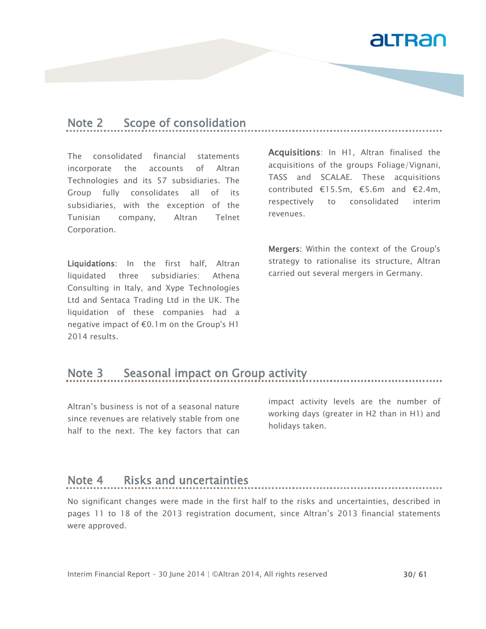

### Note 2 Scope of consolidation

The consolidated financial statements incorporate the accounts of Altran Technologies and its 57 subsidiaries. The Group fully consolidates all of its subsidiaries, with the exception of the Tunisian company, Altran Telnet Corporation.

Liquidations: In the first half, Altran liquidated three subsidiaries: Athena Consulting in Italy, and Xype Technologies Ltd and Sentaca Trading Ltd in the UK. The liquidation of these companies had a negative impact of €0.1m on the Group's H1 2014 results.

Acquisitions: In H1, Altran finalised the acquisitions of the groups Foliage/Vignani, TASS and SCALAE. These acquisitions contributed €15.5m, €5.6m and €2.4m, respectively to consolidated interim revenues.

Mergers: Within the context of the Group's strategy to rationalise its structure, Altran carried out several mergers in Germany.

### Note 3 Seasonal impact on Group activity

Altran's business is not of a seasonal nature since revenues are relatively stable from one half to the next. The key factors that can

impact activity levels are the number of working days (greater in H2 than in H1) and holidays taken.

#### Note 4 Risks and uncertainties

No significant changes were made in the first half to the risks and uncertainties, described in pages 11 to 18 of the 2013 registration document, since Altran's 2013 financial statements were approved.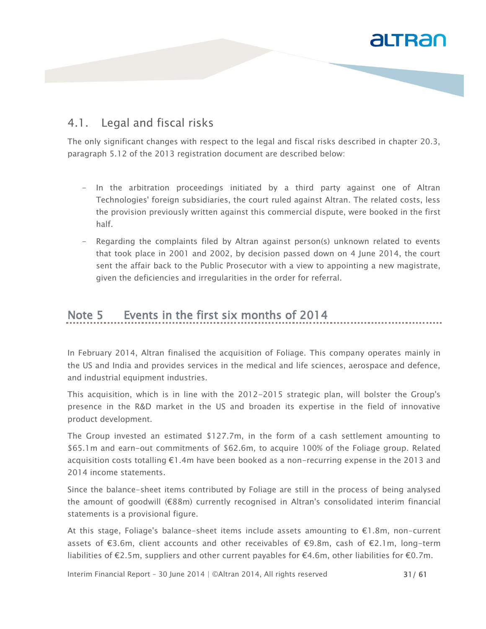#### 4.1. Legal and fiscal risks

The only significant changes with respect to the legal and fiscal risks described in chapter 20.3, paragraph 5.12 of the 2013 registration document are described below:

- In the arbitration proceedings initiated by a third party against one of Altran Technologies' foreign subsidiaries, the court ruled against Altran. The related costs, less the provision previously written against this commercial dispute, were booked in the first half.
- Regarding the complaints filed by Altran against person(s) unknown related to events that took place in 2001 and 2002, by decision passed down on 4 June 2014, the court sent the affair back to the Public Prosecutor with a view to appointing a new magistrate, given the deficiencies and irregularities in the order for referral.

### Note 5 Events in the first six months of 2014

In February 2014, Altran finalised the acquisition of Foliage. This company operates mainly in the US and India and provides services in the medical and life sciences, aerospace and defence, and industrial equipment industries.

This acquisition, which is in line with the 2012-2015 strategic plan, will bolster the Group's presence in the R&D market in the US and broaden its expertise in the field of innovative product development.

The Group invested an estimated \$127.7m, in the form of a cash settlement amounting to \$65.1m and earn-out commitments of \$62.6m, to acquire 100% of the Foliage group. Related acquisition costs totalling €1.4m have been booked as a non-recurring expense in the 2013 and 2014 income statements.

Since the balance-sheet items contributed by Foliage are still in the process of being analysed the amount of goodwill (€88m) currently recognised in Altran's consolidated interim financial statements is a provisional figure.

At this stage, Foliage's balance-sheet items include assets amounting to €1.8m, non-current assets of €3.6m, client accounts and other receivables of €9.8m, cash of €2.1m, long-term liabilities of €2.5m, suppliers and other current payables for €4.6m, other liabilities for €0.7m.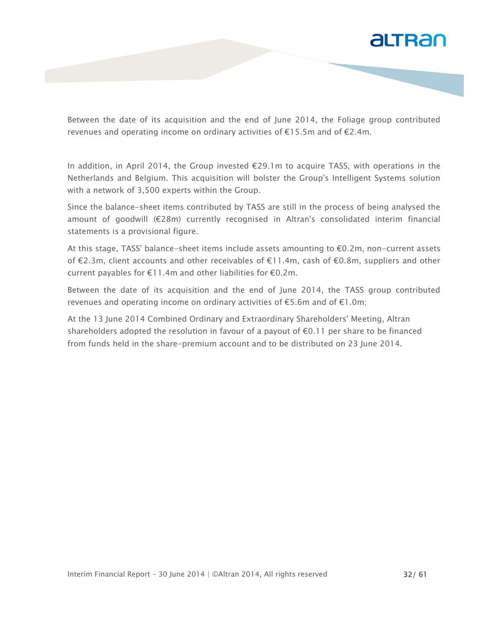

Between the date of its acquisition and the end of June 2014, the Foliage group contributed revenues and operating income on ordinary activities of €15.5m and of €2.4m.

In addition, in April 2014, the Group invested €29.1m to acquire TASS, with operations in the Netherlands and Belgium. This acquisition will bolster the Group's Intelligent Systems solution with a network of 3,500 experts within the Group.

Since the balance-sheet items contributed by TASS are still in the process of being analysed the amount of goodwill (€28m) currently recognised in Altran's consolidated interim financial statements is a provisional figure.

At this stage, TASS' balance-sheet items include assets amounting to €0.2m, non-current assets of €2.3m, client accounts and other receivables of €11.4m, cash of €0.8m, suppliers and other current payables for €11.4m and other liabilities for €0.2m.

Between the date of its acquisition and the end of June 2014, the TASS group contributed revenues and operating income on ordinary activities of  $\epsilon$ 5.6m and of  $\epsilon$ 1.0m;

At the 13 June 2014 Combined Ordinary and Extraordinary Shareholders' Meeting, Altran shareholders adopted the resolution in favour of a payout of  $\epsilon$ 0.11 per share to be financed from funds held in the share-premium account and to be distributed on 23 June 2014.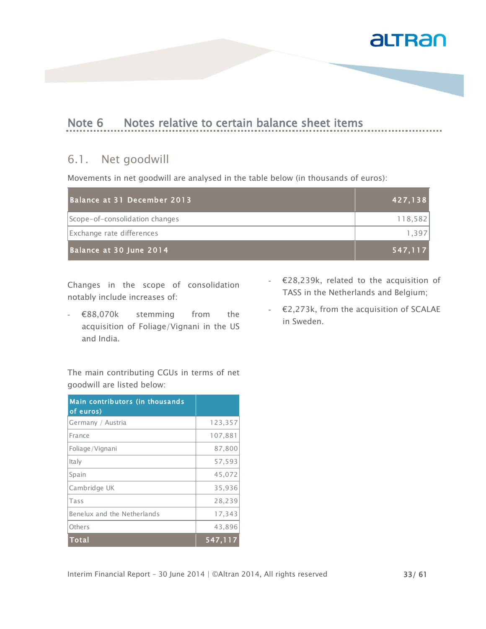

 $\frac{1}{2}$ 

### Note 6 Notes relative to certain balance sheet items

#### 6.1. Net goodwill

Movements in net goodwill are analysed in the table below (in thousands of euros):

| Balance at 31 December 2013    | 427, 138 |
|--------------------------------|----------|
| Scope-of-consolidation changes | 118,582  |
| Exchange rate differences      | 1.397    |
| Balance at 30 June 2014        | 547.117  |

Changes in the scope of consolidation notably include increases of:

- €88,070k stemming from the acquisition of Foliage/Vignani in the US and India.
- €28,239k, related to the acquisition of TASS in the Netherlands and Belgium;
- $E$ 2,273k, from the acquisition of SCALAE in Sweden.

The main contributing CGUs in terms of net goodwill are listed below:

| Main contributors (in thousands<br>of euros) |         |
|----------------------------------------------|---------|
| Germany / Austria                            | 123,357 |
| France                                       | 107,881 |
| Foliage/Vignani                              | 87,800  |
| Italy                                        | 57,593  |
| Spain                                        | 45,072  |
| Cambridge UK                                 | 35,936  |
| Tass                                         | 28,239  |
| Benelux and the Netherlands                  | 17,343  |
| Others                                       | 43,896  |
| <b>Total</b>                                 | 547.117 |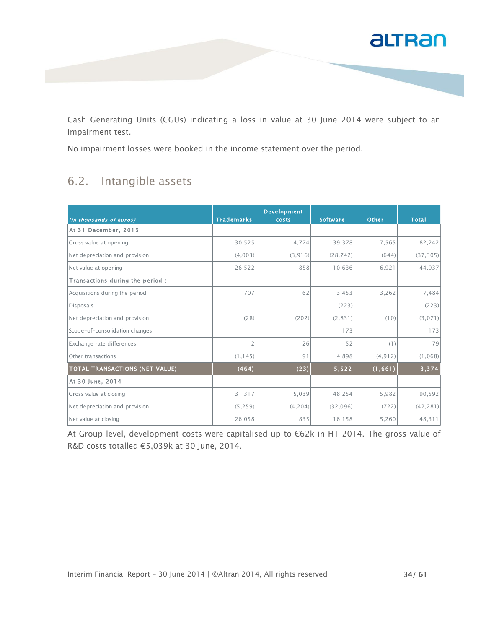

Cash Generating Units (CGUs) indicating a loss in value at 30 June 2014 were subject to an impairment test.

No impairment losses were booked in the income statement over the period.

#### 6.2. Intangible assets

| (in thousands of euros)               | <b>Trademarks</b> | <b>Development</b><br><b>costs</b> | <b>Software</b> | <b>Other</b> | <b>Total</b> |
|---------------------------------------|-------------------|------------------------------------|-----------------|--------------|--------------|
| At 31 December, 2013                  |                   |                                    |                 |              |              |
| Gross value at opening                | 30,525            | 4,774                              | 39,378          | 7,565        | 82,242       |
| Net depreciation and provision        | (4,003)           | (3,916)                            | (28, 742)       | (644)        | (37, 305)    |
| Net value at opening                  | 26,522            | 858                                | 10,636          | 6,921        | 44,937       |
| Transactions during the period:       |                   |                                    |                 |              |              |
| Acquisitions during the period        | 707               | 62                                 | 3,453           | 3,262        | 7,484        |
| Disposals                             |                   |                                    | (223)           |              | (223)        |
| Net depreciation and provision        | (28)              | (202)                              | (2, 831)        | (10)         | (3,071)      |
| Scope-of-consolidation changes        |                   |                                    | 173             |              | 173          |
| Exchange rate differences             | 2                 | 26                                 | 52              | (1)          | 79           |
| Other transactions                    | (1, 145)          | 91                                 | 4,898           | (4, 912)     | (1,068)      |
| <b>TOTAL TRANSACTIONS (NET VALUE)</b> | (464)             | (23)                               | 5,522           | (1,661)      | 3,374        |
| At 30 June, 2014                      |                   |                                    |                 |              |              |
| Gross value at closing                | 31,317            | 5,039                              | 48,254          | 5,982        | 90,592       |
| Net depreciation and provision        | (5, 259)          | (4,204)                            | (32,096)        | (722)        | (42, 281)    |
| Net value at closing                  | 26,058            | 835                                | 16,158          | 5,260        | 48,311       |

At Group level, development costs were capitalised up to €62k in H1 2014. The gross value of R&D costs totalled €5,039k at 30 June, 2014.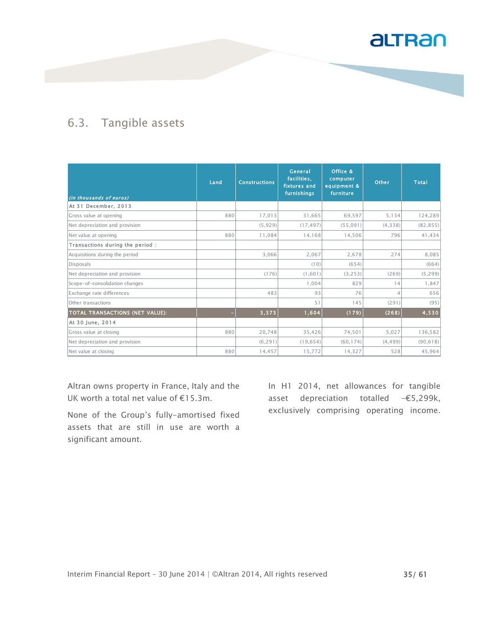

#### 6.3. Tangible assets

| (in thousands of euros)          | Land | <b>Constructions</b> | General<br>facilities,<br>fixtures and<br>furnishings | Office &<br>computer<br>equipment &<br>furniture | <b>Other</b> | <b>Total</b> |
|----------------------------------|------|----------------------|-------------------------------------------------------|--------------------------------------------------|--------------|--------------|
| At 31 December, 2013             |      |                      |                                                       |                                                  |              |              |
| Gross value at opening           | 880  | 17,013               | 31,665                                                | 69,597                                           | 5,134        | 124,289      |
| Net depreciation and provision   |      | (5,929)              | (17, 497)                                             | (55,091)                                         | (4, 338)     | (82, 855)    |
| Net value at opening             | 880  | 11,084               | 14,168                                                | 14,506                                           | 796          | 41,434       |
| Transactions during the period : |      |                      |                                                       |                                                  |              |              |
| Acquisitions during the period   |      | 3,066                | 2,067                                                 | 2.678                                            | 274          | 8,085        |
| Disposals                        |      |                      | (10)                                                  | (654)                                            |              | (664)        |
| Net depreciation and provision   |      | (176)                | (1,601)                                               | (3, 253)                                         | (269)        | (5, 299)     |
| Scope-of-consolidation changes   |      |                      | 1,004                                                 | 829                                              | 14           | 1,847        |
| Exchange rate differences        |      | 483                  | 93                                                    | 76                                               | Δ            | 656          |
| Other transactions               |      |                      | 51                                                    | 145                                              | (291)        | (95)         |
| TOTAL TRANSACTIONS (NET VALUE):  |      | 3,373                | 1,604                                                 | (179)                                            | (268)        | 4,530        |
| At 30 June, 2014                 |      |                      |                                                       |                                                  |              |              |
| Gross value at closing           | 880  | 20,748               | 35,426                                                | 74,501                                           | 5,027        | 136,582      |
| Net depreciation and provision   |      | (6, 291)             | (19, 654)                                             | (60, 174)                                        | (4, 499)     | (90, 618)    |
| Net value at closing             | 880  | 14,457               | 15,772                                                | 14,327                                           | 528          | 45,964       |

Altran owns property in France, Italy and the UK worth a total net value of €15.3m.

None of the Group's fully-amortised fixed assets that are still in use are worth a significant amount.

In H1 2014, net allowances for tangible asset depreciation totalled -€5,299k, exclusively comprising operating income.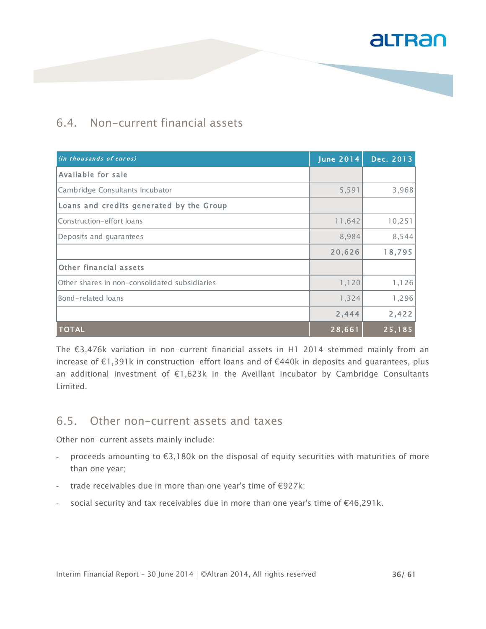#### 6.4. Non-current financial assets

| (in thousands of euros)                       | <b>June 2014</b> | Dec. 2013 |
|-----------------------------------------------|------------------|-----------|
| Available for sale                            |                  |           |
| Cambridge Consultants Incubator               | 5,591            | 3,968     |
| Loans and credits generated by the Group      |                  |           |
| Construction-effort loans                     | 11,642           | 10,251    |
| Deposits and guarantees                       | 8,984            | 8,544     |
|                                               | 20,626           | 18,795    |
| Other financial assets                        |                  |           |
| Other shares in non-consolidated subsidiaries | 1,120            | 1,126     |
| Bond-related loans                            | 1,324            | 1,296     |
|                                               | 2,444            | 2,422     |
| <b>TOTAL</b>                                  | 28,661           | 25,185    |

The €3,476k variation in non-current financial assets in H1 2014 stemmed mainly from an increase of €1,391k in construction-effort loans and of €440k in deposits and guarantees, plus an additional investment of €1,623k in the Aveillant incubator by Cambridge Consultants Limited.

#### 6.5. Other non-current assets and taxes

Other non-current assets mainly include:

- proceeds amounting to €3,180k on the disposal of equity securities with maturities of more than one year;
- trade receivables due in more than one year's time of  $\epsilon$ 927k;
- social security and tax receivables due in more than one year's time of  $€46,291k$ .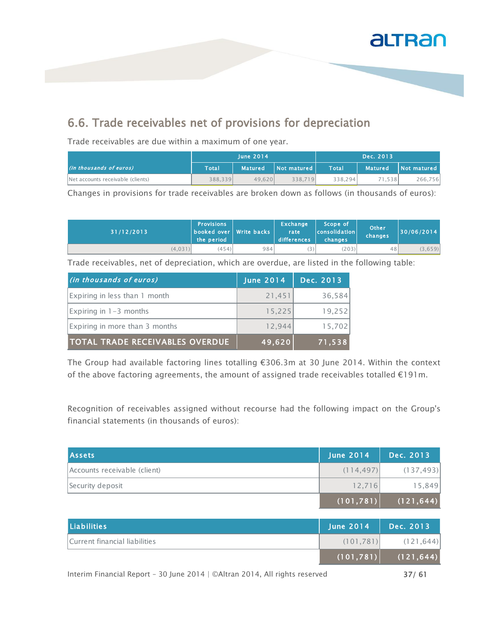

### 6.6. Trade receivables net of provisions for depreciation

Trade receivables are due within a maximum of one year.

|                                   | June $2014$ |                |             |         | Dec. 2013      |             |
|-----------------------------------|-------------|----------------|-------------|---------|----------------|-------------|
| (in thousands of euros)           | Total       | <b>Matured</b> | Not matured | Total   | <b>Matured</b> | Not matured |
| Net accounts receivable (clients) | 388,339     | 49.620         | 338.719     | 338.294 | 71.538         | 266,756     |

Changes in provisions for trade receivables are broken down as follows (in thousands of euros):

| 31/12/2013 | <b>Provisions</b><br>booked over Write backs<br>the period |     | Exchange<br>rate<br>differences | 'Scope of,<br><b>consolidation</b><br>changes | Other<br>changes | 30/06/2014 |
|------------|------------------------------------------------------------|-----|---------------------------------|-----------------------------------------------|------------------|------------|
| (4, 031)   | (454)                                                      | 984 |                                 | (203)                                         | 48               | (3,659)    |

Trade receivables, net of depreciation, which are overdue, are listed in the following table:

| (in thousands of euros)                | June 2014 | Dec. 2013 |
|----------------------------------------|-----------|-----------|
| Expiring in less than 1 month          | 21,451    | 36,584    |
| Expiring in 1-3 months                 | 15,225    | 19.252    |
| Expiring in more than 3 months         | 12.944    | 15,702    |
| <b>TOTAL TRADE RECEIVABLES OVERDUE</b> | 49,620    | 71,538    |

The Group had available factoring lines totalling €306.3m at 30 June 2014. Within the context of the above factoring agreements, the amount of assigned trade receivables totalled €191m.

Recognition of receivables assigned without recourse had the following impact on the Group's financial statements (in thousands of euros):

| <b>Assets</b>                | <b>June 2014</b> | Dec. 2013  |
|------------------------------|------------------|------------|
| Accounts receivable (client) | (114, 497)       | (137, 493) |
| Security deposit             | 12.716           | 15,849     |
|                              | (101, 781)       | (121, 644) |

| Liabilities                   | <b>June 2014</b> | Dec. 2013                 |
|-------------------------------|------------------|---------------------------|
| Current financial liabilities | (101, 781)       | (121, 644)                |
|                               |                  | $(101, 781)$ $(121, 644)$ |
|                               |                  |                           |

Interim Financial Report - 30 June 2014 | ©Altran 2014, All rights reserved 37/ 61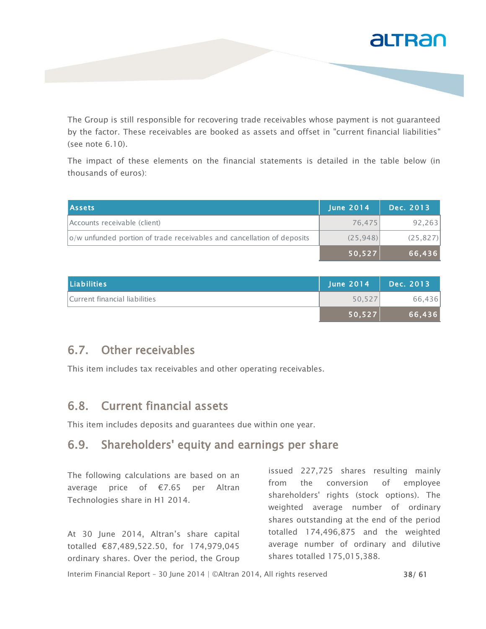

The Group is still responsible for recovering trade receivables whose payment is not guaranteed by the factor. These receivables are booked as assets and offset in "current financial liabilities" (see note 6.10).

The impact of these elements on the financial statements is detailed in the table below (in thousands of euros):

| <b>Assets</b>                                                          | <b>June 2014</b> | Dec. 2013 |
|------------------------------------------------------------------------|------------------|-----------|
| Accounts receivable (client)                                           | 76.475           | 92, 263   |
| o/w unfunded portion of trade receivables and cancellation of deposits | (25.948)         | (25, 827) |
|                                                                        | 50,527           | 66,436    |

| Liabilities                   | <b>June 2014</b> | Dec. 2013 |
|-------------------------------|------------------|-----------|
| Current financial liabilities | 50.527           | 66,436    |
|                               | 50,527           | 66.436    |

#### 6.7. Other receivables

This item includes tax receivables and other operating receivables.

#### 6.8. Current financial assets

This item includes deposits and guarantees due within one year.

### 6.9. Shareholders' equity and earnings per share

The following calculations are based on an average price of €7.65 per Altran Technologies share in H1 2014.

At 30 June 2014, Altran's share capital totalled €87,489,522.50, for 174,979,045 ordinary shares. Over the period, the Group

issued 227,725 shares resulting mainly from the conversion of employee shareholders' rights (stock options). The weighted average number of ordinary shares outstanding at the end of the period totalled 174,496,875 and the weighted average number of ordinary and dilutive shares totalled 175,015,388.

Interim Financial Report – 30 June 2014 | ©Altran 2014, All rights reserved 38/ 61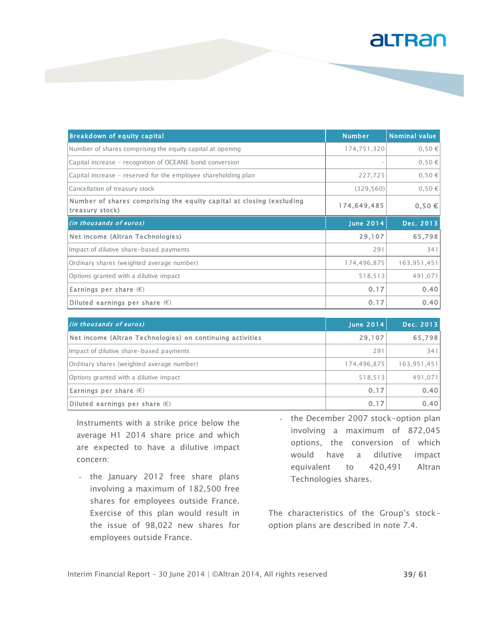| <b>Breakdown of equity capital</b>                                                      | <b>Number</b>    | <b>Nominal value</b> |
|-----------------------------------------------------------------------------------------|------------------|----------------------|
| Number of shares comprising the equity capital at opening                               | 174,751,320      | 0,50€                |
| Capital increase - recognition of OCEANE bond conversion                                |                  | 0,50€                |
| Capital increase - reserved for the employee shareholding plan                          | 227,725          | 0,50€                |
| Cancellation of treasury stock                                                          | (329, 560)       | 0,50€                |
| Number of shares comprising the equity capital at closing (excluding<br>treasury stock) | 174,649,485      | $0,50 \in$           |
| (in thousands of euros)                                                                 | <b>June 2014</b> | Dec. 2013            |
| Net income (Altran Technologies)                                                        | 29,107           | 65,798               |
| Impact of dilutive share-based payments                                                 | 291              | 341                  |
| Ordinary shares (weighted average number)                                               | 174,496,875      | 163,951,451          |
| Options granted with a dilutive impact                                                  | 518,513          | 491,071              |
| Earnings per share $(\epsilon)$                                                         | 0.17             | 0.40                 |
| Diluted earnings per share $(\epsilon)$                                                 | 0.17             | 0.40                 |

| (in thousands of euros)                                   | June 2014   | Dec. 2013   |
|-----------------------------------------------------------|-------------|-------------|
| Net income (Altran Technologies) on continuing activities | 29,107      | 65,798      |
| Impact of dilutive share-based payments                   | 291         | 3411        |
| Ordinary shares (weighted average number)                 | 174,496,875 | 163,951,451 |
| Options granted with a dilutive impact                    | 518,513     | 491,071     |
| Earnings per share $(\epsilon)$                           | 0.17        | 0.40        |
| Diluted earnings per share $(\epsilon)$                   | 0.17        | 0.40        |

Instruments with a strike price below the average H1 2014 share price and which are expected to have a dilutive impact concern:

- the January 2012 free share plans involving a maximum of 182,500 free shares for employees outside France. Exercise of this plan would result in the issue of 98,022 new shares for employees outside France.
- the December 2007 stock-option plan involving a maximum of 872,045 options, the conversion of which would have a dilutive impact equivalent to 420,491 Altran Technologies shares.

The characteristics of the Group's stockoption plans are described in note 7.4.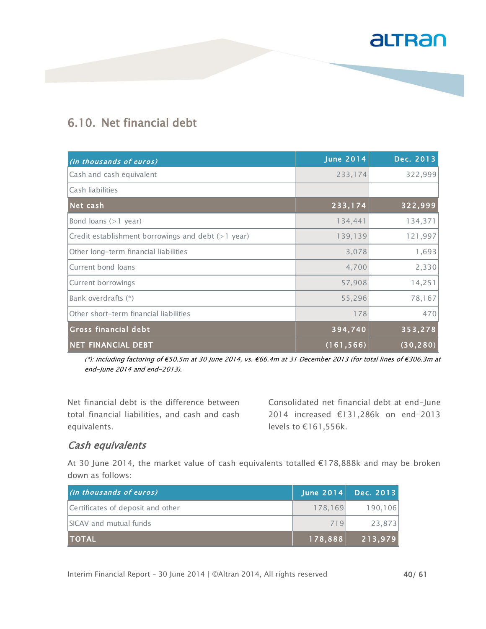### 6.10. Net financial debt

| (in thousands of euros)                            | <b>June 2014</b> | Dec. 2013 |
|----------------------------------------------------|------------------|-----------|
| Cash and cash equivalent                           | 233,174          | 322,999   |
| Cash liabilities                                   |                  |           |
| Net cash                                           | 233,174          | 322,999   |
| Bond loans $(>1$ year)                             | 134,441          | 134,371   |
| Credit establishment borrowings and debt (>1 year) | 139,139          | 121,997   |
| Other long-term financial liabilities              | 3,078            | 1,693     |
| Current bond loans                                 | 4,700            | 2,330     |
| Current borrowings                                 | 57,908           | 14,251    |
| Bank overdrafts (*)                                | 55,296           | 78,167    |
| Other short-term financial liabilities             | 178              | 470       |
| <b>Gross financial debt</b>                        | 394,740          | 353,278   |
| <b>NET FINANCIAL DEBT</b>                          | (161, 566)       | (30, 280) |

(\*): including factoring of €50.5m at 30 June 2014, vs. €66.4m at 31 December 2013 (for total lines of €306.3m at end-June 2014 and end-2013).

Net financial debt is the difference between total financial liabilities, and cash and cash equivalents.

Consolidated net financial debt at end-June 2014 increased €131,286k on end-2013 levels to €161,556k.

#### Cash equivalents

At 30 June 2014, the market value of cash equivalents totalled €178,888k and may be broken down as follows:

| (in thousands of euros)           | June $2014$      | Dec. $2013$ |
|-----------------------------------|------------------|-------------|
| Certificates of deposit and other | 178.169          | 190.106     |
| <b>SICAV</b> and mutual funds     | 719              | 23.873      |
| <b>TOTAL</b>                      | $\sqrt{178,888}$ | 213,979     |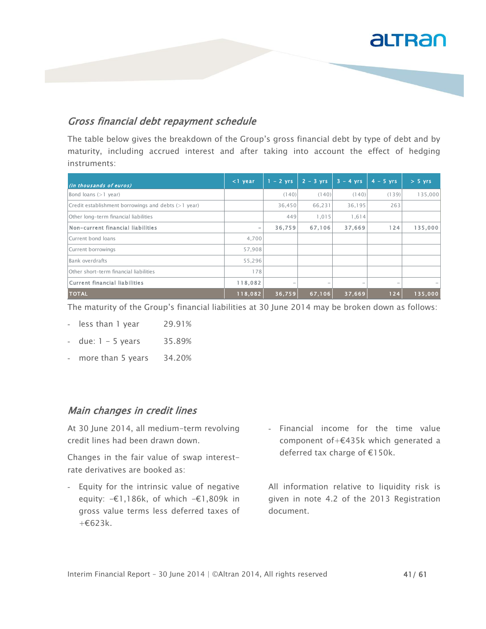#### Gross financial debt repayment schedule

The table below gives the breakdown of the Group's gross financial debt by type of debt and by maturity, including accrued interest and after taking into account the effect of hedging instruments:

| (in thousands of euros)                                 | $<$ 1 year | $1 - 2$ yrs | $2 - 3$ yrs              | $3 - 4$ yrs              | $4 - 5$ vrs | $> 5$ yrs |
|---------------------------------------------------------|------------|-------------|--------------------------|--------------------------|-------------|-----------|
| Bond loans $(>1$ year)                                  |            | (140)       | (140)                    | (140)                    | (139)       | 135,000   |
| $Credit$ establishment borrowings and debts $(>1$ year) |            | 36,450      | 66,231                   | 36,195                   | 263         |           |
| Other long-term financial liabilities                   |            | 449         | 1.015                    | 1.614                    |             |           |
| Non-current financial liabilities                       | -          | 36,759      | 67,106                   | 37,669                   | 124         | 135,000   |
| Current bond loans                                      | 4,700      |             |                          |                          |             |           |
| Current borrowings                                      | 57,908     |             |                          |                          |             |           |
| Bank overdrafts                                         | 55,296     |             |                          |                          |             |           |
| Other short-term financial liabilities                  | 178        |             |                          |                          |             |           |
| Current financial liabilities                           | 118,082    |             | $\overline{\phantom{a}}$ | $\overline{\phantom{0}}$ | $\sim$      |           |
| <b>TOTAL</b>                                            | 118,082    | 36,759      | 67,106                   | 37,669                   | $124$       | 135,000   |

The maturity of the Group's financial liabilities at 30 June 2014 may be broken down as follows:

- less than 1 year 29.91%
- $-$  due:  $1 5$  years 35.89%
- more than 5 years 34.20%

#### Main changes in credit lines

At 30 June 2014, all medium-term revolving credit lines had been drawn down.

Changes in the fair value of swap interestrate derivatives are booked as:

- Equity for the intrinsic value of negative equity: -€1,186k, of which -€1,809k in gross value terms less deferred taxes of  $+6623k$ .
- Financial income for the time value component of+€435k which generated a deferred tax charge of €150k.

All information relative to liquidity risk is given in note 4.2 of the 2013 Registration document.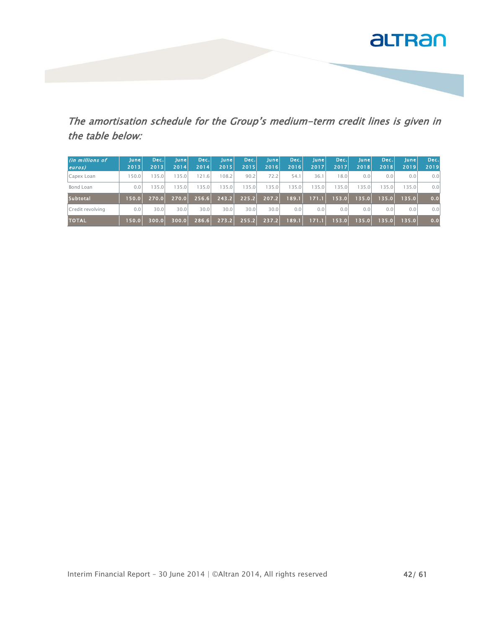

The amortisation schedule for the Group's medium-term credit lines is given in the table below:

| (in millions of<br>euros) | Junel<br>2013 | Dec.<br>2013 | Junel<br>2014 | Dec.<br>2014 | Junel<br>2015 | Dec.<br>2015 | <b>June</b><br>2016 | Dec.<br>72016 | June<br>2017 | Dec.<br>2017 | Junel<br>2018 | Dec.<br>2018 | <b>June</b><br>2019 | Dec.<br>2019 |
|---------------------------|---------------|--------------|---------------|--------------|---------------|--------------|---------------------|---------------|--------------|--------------|---------------|--------------|---------------------|--------------|
| Capex Loan                | 150.0         | 135.01       | 35.0          | 121.6        | 108.2         | 90.2         | 72.21               | 54.1          | 36.1         | 18.01        | 0.01          | 0.0          | 0.01                | 0.01         |
| Bond Loan                 | 0.0           | 135.01       | 35.0          | 135.0        | 135.0         | 135.0        | 135.0               | 35.0          | 135.0        | 135.01       | 135.0         | 135.0        | 135.0               | 0.01         |
| <b>Subtotal</b>           | 150.0         | 270.0        | 270.0         | 256.6        | 243.2         | 225.2        | 207.2               | 189.1         | 171.1        | 153.0        | 135.0         | 135.0        | 135.0               | 0.0          |
| Credit revolving          | 0.0           | 30.0         | 30.0          | 30.0         | 30.0          | 30.0         | 30.01               | 0.0           | 0.0          | 0.0          | 0.01          | 0.0          | 0.0                 | 0.01         |
| <b>TOTAL</b>              | 150.0         | 300.OL       | 300.0         | 286.6        | 273.2         | 255.2        | 237.2               | 189.1         | 171.1        | 153.0        | 135.0         | 135.0        | 135.0               | 0.0          |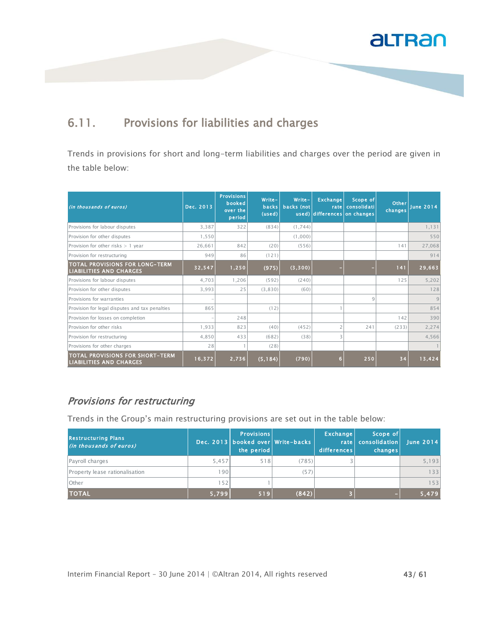

### 6.11. Provisions for liabilities and charges

Trends in provisions for short and long-term liabilities and charges over the period are given in the table below:

| (in thousands of euros)                                                  | Dec. 2013 | <b>Provisions</b><br>booked<br>over the<br>period | Write-<br><b>backs</b><br>(used) | Write-<br>backs (not | <b>Exchange</b><br>rate<br>used) differences on changes | Scope of<br>consolidati | Other<br>changes | <b>June 2014</b> |
|--------------------------------------------------------------------------|-----------|---------------------------------------------------|----------------------------------|----------------------|---------------------------------------------------------|-------------------------|------------------|------------------|
| Provisions for labour disputes                                           | 3.387     | 322                                               | (834)                            | (1,744)              |                                                         |                         |                  | 1,131            |
| Provision for other disputes                                             | 1,550     |                                                   |                                  | (1,000)              |                                                         |                         |                  | 550              |
| Provision for other risks $> 1$ year                                     | 26.661    | 842                                               | (20)                             | (556)                |                                                         |                         | 141              | 27,068           |
| Provision for restructuring                                              | 949       | 86                                                | (121)                            |                      |                                                         |                         |                  | 914              |
| <b>TOTAL PROVISIONS FOR LONG-TERM</b><br><b>LIABILITIES AND CHARGES</b>  | 32,547    | 1,250                                             | (975)                            | (3,300)              |                                                         |                         | 141              | 29,663           |
| Provisions for labour disputes                                           | 4.703     | 1,206                                             | (592)                            | (240)                |                                                         |                         | 125              | 5,202            |
| Provision for other disputes                                             | 3.993     | 25                                                | (3,830)                          | (60)                 |                                                         |                         |                  | 128              |
| Provisions for warranties                                                |           |                                                   |                                  |                      |                                                         | $\mathcal{Q}$           |                  | 9                |
| Provision for legal disputes and tax penalties                           | 865       |                                                   | (12)                             |                      |                                                         |                         |                  | 854              |
| Provision for losses on completion                                       |           | 248                                               |                                  |                      |                                                         |                         | 142              | 390              |
| Provision for other risks                                                | 1.933     | 823                                               | (40)                             | (452)                |                                                         | 241                     | (233)            | 2,274            |
| Provision for restructuring                                              | 4,850     | 433                                               | (682)                            | (38)                 | 3                                                       |                         |                  | 4,566            |
| Provisions for other charges                                             | 28        |                                                   | (28)                             |                      |                                                         |                         |                  |                  |
| <b>TOTAL PROVISIONS FOR SHORT-TERM</b><br><b>LIABILITIES AND CHARGES</b> | 16, 372   | 2,736                                             | (5, 184)                         | (790)                | 6                                                       | 250                     | 34               | 13,424           |

#### Provisions for restructuring

Trends in the Group's main restructuring provisions are set out in the table below:

| <b>Restructuring Plans</b><br>(in thousands of euros) |       | <b>Provisions</b><br>the period | Dec. 2013 booked over Write-backs | Exchange<br>rate  <br>differences | Scope of<br>consolidation<br>changes | <b>June 2014</b> |
|-------------------------------------------------------|-------|---------------------------------|-----------------------------------|-----------------------------------|--------------------------------------|------------------|
| Payroll charges                                       | 5.457 | 518                             | (785)                             |                                   |                                      | 5,193            |
| Property lease rationalisation                        | 190   |                                 | (57)                              |                                   |                                      | 133              |
| <b>l</b> Other                                        | 152   |                                 |                                   |                                   |                                      | 153              |
| <b>TOTAL</b>                                          | 5,799 | 519                             | (842)                             |                                   | $\sim$                               | 5,479            |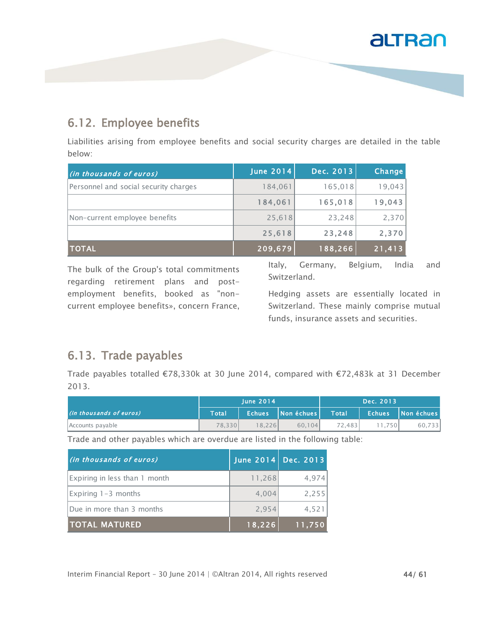#### 6.12. Employee benefits

Liabilities arising from employee benefits and social security charges are detailed in the table below:

| (in thousands of euros)               | <b>June 2014</b> | Dec. 2013 | Change |
|---------------------------------------|------------------|-----------|--------|
| Personnel and social security charges | 184,061          | 165,018   | 19,043 |
|                                       | 184,061          | 165,018   | 19,043 |
| Non-current employee benefits         | 25,618           | 23,248    | 2,370  |
|                                       | 25,618           | 23,248    | 2,370  |
| <b>TOTAL</b>                          | 209,679          | 188,266   | 21,413 |

The bulk of the Group's total commitments regarding retirement plans and postemployment benefits, booked as "noncurrent employee benefits», concern France, Italy, Germany, Belgium, India and Switzerland.

Hedging assets are essentially located in Switzerland. These mainly comprise mutual funds, insurance assets and securities.

#### 6.13. Trade payables

Trade payables totalled €78,330k at 30 June 2014, compared with €72,483k at 31 December 2013.

|                         | <b>lune 2014</b> |        |                  |              | Dec. 2013     |            |
|-------------------------|------------------|--------|------------------|--------------|---------------|------------|
| (in thousands of euros) | Total            |        | Echues Nonéchues | <b>Total</b> | <b>Echues</b> | Non échues |
| Accounts payable        | 78.330           | 18.226 | 60.104           | 72.483       | 1.750         | 60.733     |

Trade and other payables which are overdue are listed in the following table:

| (in thousands of euros)       |        | June 2014 Dec. 2013 |
|-------------------------------|--------|---------------------|
| Expiring in less than 1 month | 11,268 | 4,974               |
| $\left $ Expiring 1-3 months  | 4.004  | 2,255               |
| Due in more than 3 months     | 2,954  | 4,521               |
| ITOTAL MATURED                | 18,226 | 11,750              |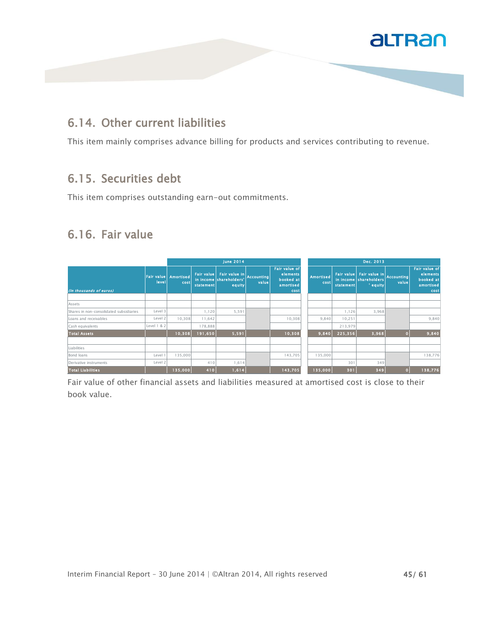

#### 6.14. Other current liabilities

This item mainly comprises advance billing for products and services contributing to revenue.

#### 6.15. Securities debt

This item comprises outstanding earn-out commitments.

### 6.16. Fair value

|                                         |                            |                   | <b>June 2014</b> |                                                                          |       | Dec. 2013                                                          |                   |           |                                                                |                            |                                                             |
|-----------------------------------------|----------------------------|-------------------|------------------|--------------------------------------------------------------------------|-------|--------------------------------------------------------------------|-------------------|-----------|----------------------------------------------------------------|----------------------------|-------------------------------------------------------------|
| (In thousands of euros)                 | <b>Fair value</b><br>level | Amortised<br>cost | statement        | Fair value Fair value in Accounting<br>in income shareholders'<br>equity | value | <b>Fair value of</b><br>elements<br>booked at<br>amortised<br>cost | Amortised<br>cost | statement | Fair value Fair value in<br>in income shareholders<br>' equity | <b>Accounting</b><br>value | Fair value of<br>elements<br>booked at<br>amortised<br>cost |
|                                         |                            |                   |                  |                                                                          |       |                                                                    |                   |           |                                                                |                            |                                                             |
| Assets                                  |                            |                   |                  |                                                                          |       |                                                                    |                   |           |                                                                |                            |                                                             |
| Shares in non-consolidated subsidiaries | Level 3                    |                   | 1,120            | 5,591                                                                    |       |                                                                    |                   | 1,126     | 3,968                                                          |                            |                                                             |
| Loans and receivables                   | Level 2                    | 10,308            | 11,642           |                                                                          |       | 10,308                                                             | 9,840             | 10,251    |                                                                |                            | 9,840                                                       |
| Cash equivalents                        | Level 1 & 2                |                   | 178,888          |                                                                          |       |                                                                    |                   | 213,979   |                                                                |                            |                                                             |
| <b>Total Assets</b>                     |                            | 10,308            | 191,650          | 5,591                                                                    |       | 10,308                                                             | 9,840             | 225,356   | 3,968                                                          | $\bullet$                  | 9,840                                                       |
| Liabilities                             |                            |                   |                  |                                                                          |       |                                                                    |                   |           |                                                                |                            |                                                             |
| Bond loans                              | Level                      | 135,000           |                  |                                                                          |       | 143,705                                                            | 135,000           |           |                                                                |                            | 138,776                                                     |
| Derivative instruments                  | Level 2                    |                   | 410              | 1,614                                                                    |       |                                                                    |                   | 301       | 349                                                            |                            |                                                             |
| <b>Total Liabilities</b>                |                            | 135,000           | 410              | 1,614                                                                    |       | 143,705                                                            | 135,000           | 301       | 349                                                            |                            | 138,776                                                     |

Fair value of other financial assets and liabilities measured at amortised cost is close to their book value.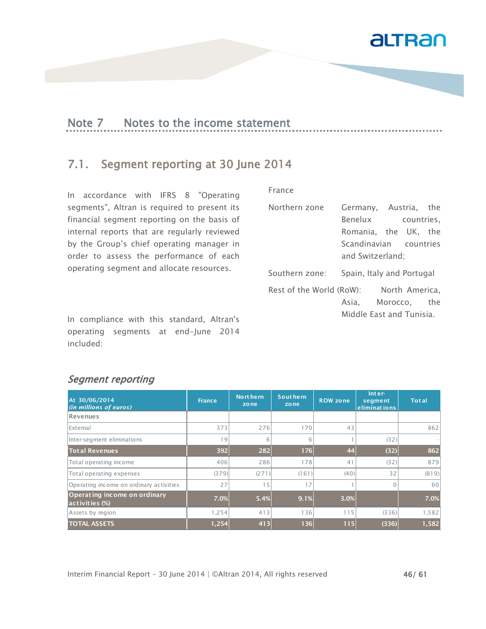

### Note 7 Notes to the income statement

#### 7.1. Segment reporting at 30 June 2014

In accordance with IFRS 8 "Operating segments", Altran is required to present its financial segment reporting on the basis of internal reports that are regularly reviewed by the Group's chief operating manager in order to assess the performance of each operating segment and allocate resources.

In compliance with this standard, Altran's operating segments at end-June 2014 included:

| Northern zone            |                           | Germany, Austria, the |  |
|--------------------------|---------------------------|-----------------------|--|
|                          | Benelux countries,        |                       |  |
|                          | Romania, the UK, the      |                       |  |
|                          | Scandinavian countries    |                       |  |
|                          | and Switzerland;          |                       |  |
| Southern zone:           | Spain, Italy and Portugal |                       |  |
| Rest of the World (RoW): |                           | North America,        |  |
|                          | Asia, Morocco, the        |                       |  |
|                          | Middle East and Tunisia.  |                       |  |

#### Segment reporting

| At 30/06/2014<br>(in millions of euros)        | <b>France</b> | Nort hern<br>zone | <b>Southern</b><br>zone | <b>ROW zone</b> | $Inter-$<br>segment<br>eliminations | <b>Total</b> |
|------------------------------------------------|---------------|-------------------|-------------------------|-----------------|-------------------------------------|--------------|
| Revenues                                       |               |                   |                         |                 |                                     |              |
| <b>IExternal</b>                               | 373           | 276               | 170                     | 43              |                                     | 862          |
| Inter-segment eliminations                     | 19            | 6                 | 6                       |                 | (32)                                |              |
| <b>Total Revenues</b>                          | 392           | 282               | 176                     | 44              | (32)                                | 862          |
| Total operating income                         | 406           | 286               | 178                     | 41              | (32)                                | 879          |
| Total operating expenses                       | (379)         | (271)             | (161)                   | (40)            | 32                                  | (819)        |
| Operating income on ordinary activities        | 27            | 15                | 17                      |                 | $\Omega$                            | 60           |
| Operating income on ordinary<br>activities (%) | 7.0%          | 5.4%              | 9.1%                    | 3.0%            |                                     | 7.0%         |
| Assets by region                               | 1,254         | 413               | 136                     | 115             | (336)                               | 1,582        |
| <b>TOTAL ASSETS</b>                            | 1,254         | 413               | 136                     | 115             | (336)                               | 1,582        |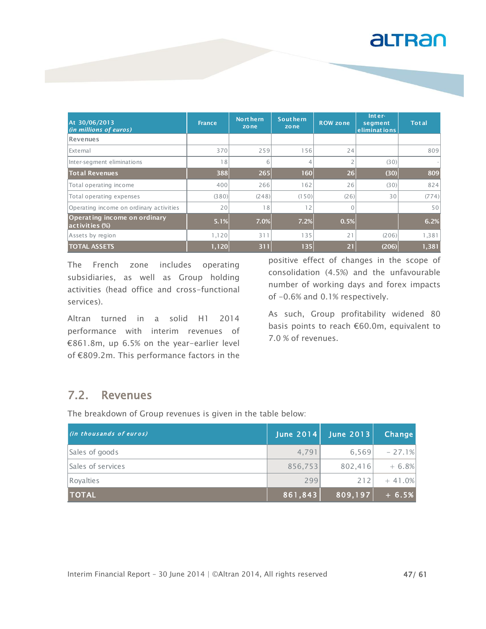| At 30/06/2013<br>(in millions of euros)        | <b>France</b> | Nort hern<br>zone | <b>Southern</b><br>zone | <b>ROW zone</b> | Inter-<br>segment<br>eliminations | <b>Total</b> |
|------------------------------------------------|---------------|-------------------|-------------------------|-----------------|-----------------------------------|--------------|
| Revenues                                       |               |                   |                         |                 |                                   |              |
| <b>IExternal</b>                               | 370           | 259               | 156                     | 24              |                                   | 809          |
| Inter-segment eliminations                     | 18            | 6                 | 4                       | $\overline{2}$  | (30)                              |              |
| <b>Total Revenues</b>                          | 388           | 265               | 160                     | 26              | (30)                              | 809          |
| Total operating income                         | 400           | 266               | 162                     | 26              | (30)                              | 824          |
| Total operating expenses                       | (380)         | (248)             | (150)                   | (26)            | 30                                | (774)        |
| Operating income on ordinary activities        | 20            | 18                | 12                      | $\Omega$        |                                   | 50           |
| Operating income on ordinary<br>activities (%) | 5.1%          | 7.0%              | 7.2%                    | 0.5%            |                                   | 6.2%         |
| Assets by region                               | 1,120         | 311               | 135                     | 21              | (206)                             | 1,381        |
| <b>TOTAL ASSETS</b>                            | 1,120         | 311               | 135                     | $\overline{21}$ | (206)                             | 1,381        |

The French zone includes operating subsidiaries, as well as Group holding activities (head office and cross-functional services).

Altran turned in a solid H1 2014 performance with interim revenues of €861.8m, up 6.5% on the year-earlier level of €809.2m. This performance factors in the

positive effect of changes in the scope of consolidation (4.5%) and the unfavourable number of working days and forex impacts of -0.6% and 0.1% respectively.

As such, Group profitability widened 80 basis points to reach €60.0m, equivalent to 7.0 % of revenues.

#### 7.2. Revenues

| The breakdown of Group revenues is given in the table below: |           |                  |          |  |  |
|--------------------------------------------------------------|-----------|------------------|----------|--|--|
| (in thousands of euros)                                      | June 2014 | <b>June 2013</b> | Change   |  |  |
| Sales of goods                                               | 4.791     | 6,569            | $-27.1%$ |  |  |
| Sales of services                                            | 856,753   | 802,416          | $+ 6.8%$ |  |  |
| Royalties                                                    | 299       | 212              | $+41.0%$ |  |  |
| <b>TOTAL</b>                                                 | 861,843   | 809,197          | $+ 6.5%$ |  |  |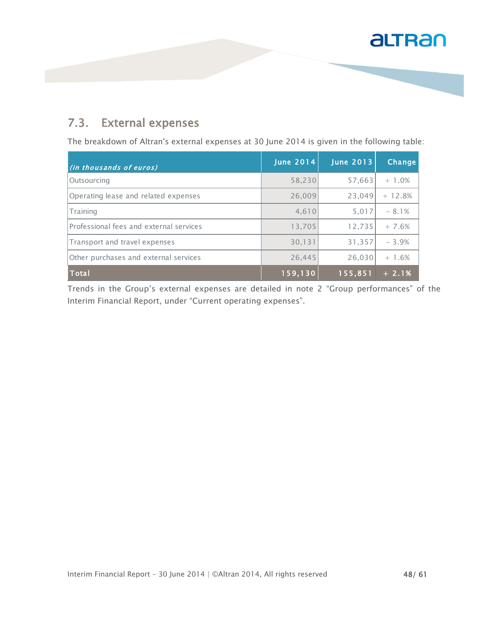#### 7.3. External expenses

The breakdown of Altran's external expenses at 30 June 2014 is given in the following table:

| (in thousands of euros)                 | <b>June 2014</b> | <b>June 2013</b> | Change   |
|-----------------------------------------|------------------|------------------|----------|
| <b>Outsourcing</b>                      | 58,230           | 57,663           | $+1.0%$  |
| Operating lease and related expenses    | 26,009           | 23,049           | $+12.8%$ |
| Training                                | 4,610            | 5,017            | $-8.1%$  |
| Professional fees and external services | 13,705           | 12,735           | $+7.6%$  |
| Transport and travel expenses           | 30,131           | 31,357           | $-3.9%$  |
| Other purchases and external services   | 26,445           | 26,030           | $+1.6%$  |
| Total                                   | 159,130          | 155,851          | $+2.1%$  |

Trends in the Group's external expenses are detailed in note 2 "Group performances" of the Interim Financial Report, under "Current operating expenses".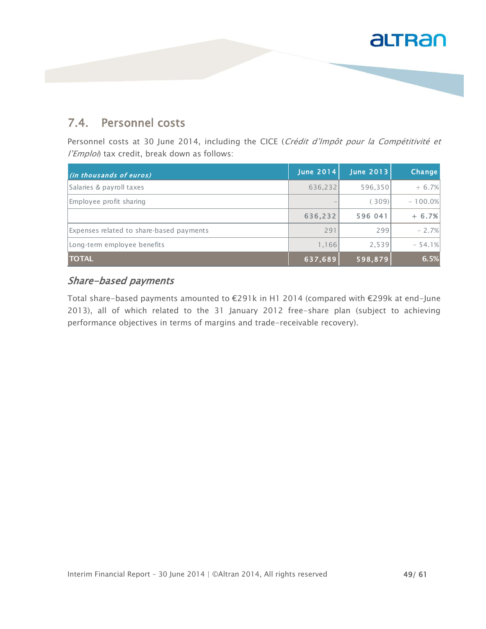#### 7.4. Personnel costs

Personnel costs at 30 June 2014, including the CICE (Crédit d'Impôt pour la Compétitivité et l'Emploi) tax credit, break down as follows:

| (in thousands of euros)                  | <b>June 2014</b> | June 2013 | Change    |
|------------------------------------------|------------------|-----------|-----------|
| Salaries & payroll taxes                 | 636,232          | 596,350   | $+6.7%$   |
| Employee profit sharing                  |                  | 309       | $-100.0%$ |
|                                          | 636.232          | 596 041   | $+ 6.7%$  |
| Expenses related to share-based payments | 291              | 299       | $-2.7%$   |
| Long-term employee benefits              | 1,166            | 2,539     | $-54.1%$  |
| <b>TOTAL</b>                             | 637,689          | 598,879   | 6.5%      |

#### Share-based payments

Total share-based payments amounted to €291k in H1 2014 (compared with €299k at end-June 2013), all of which related to the 31 January 2012 free-share plan (subject to achieving performance objectives in terms of margins and trade-receivable recovery).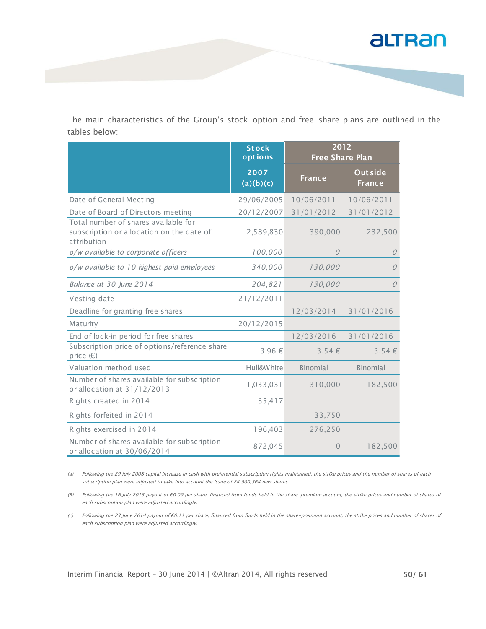

The main characteristics of the Group's stock-option and free-share plans are outlined in the tables below:<br> **Stock antions**<br> **Stock below**:<br> **Stock below**: tables below:

| tables below:                                                                                    |                         |                                |                                  |
|--------------------------------------------------------------------------------------------------|-------------------------|--------------------------------|----------------------------------|
|                                                                                                  | <b>Stock</b><br>options | 2012<br><b>Free Share Plan</b> |                                  |
|                                                                                                  | 2007<br>(a)(b)(c)       | <b>France</b>                  | <b>Out side</b><br><b>France</b> |
| Date of General Meeting                                                                          | 29/06/2005              | 10/06/2011                     | 10/06/2011                       |
| Date of Board of Directors meeting                                                               | 20/12/2007              | 31/01/2012                     | 31/01/2012                       |
| Total number of shares available for<br>subscription or allocation on the date of<br>attribution | 2,589,830               | 390,000                        | 232,500                          |
| o/w available to corporate officers                                                              | 100,000                 | $\Omega$                       | $\mathcal{O}$                    |
| o/w available to 10 highest paid employees                                                       | 340,000                 | 130,000                        | $\mathcal O$                     |
| Balance at 30 June 2014                                                                          | 204,821                 | 130,000                        | $\mathcal O$                     |
| Vesting date                                                                                     | 21/12/2011              |                                |                                  |
| Deadline for granting free shares                                                                |                         | 12/03/2014                     | 31/01/2016                       |
| Maturity                                                                                         | 20/12/2015              |                                |                                  |
| End of lock-in period for free shares                                                            |                         | 12/03/2016                     | 31/01/2016                       |
| Subscription price of options/reference share<br>price $(\epsilon)$                              | 3.96 €                  | $3.54 \in$                     | 3.54€                            |
| Valuation method used                                                                            | Hull&White              | Binomial                       | Binomial                         |
| Number of shares available for subscription<br>or allocation at 31/12/2013                       | 1,033,031               | 310,000                        | 182,500                          |
| Rights created in 2014                                                                           | 35,417                  |                                |                                  |
| Rights forfeited in 2014                                                                         |                         | 33,750                         |                                  |
| Rights exercised in 2014                                                                         | 196,403                 | 276,250                        |                                  |
| Number of shares available for subscription<br>or allocation at 30/06/2014                       | 872,045                 | $\overline{0}$                 | 182,500                          |

(a) Following the 29 July 2008 capital increase in cash with preferential subscription rights maintained, the strike prices and the number of shares of each subscription plan were adjusted to take into account the issue of 24,900,364 new shares.

(B) Following the 16 July 2013 payout of €0.09 per share, financed from funds held in the share-premium account, the strike prices and number of shares of each subscription plan were adjusted accordingly.

(c) Following the 23 June 2014 payout of €0.11 per share, financed from funds held in the share-premium account, the strike prices and number of shares of each subscription plan were adjusted accordingly.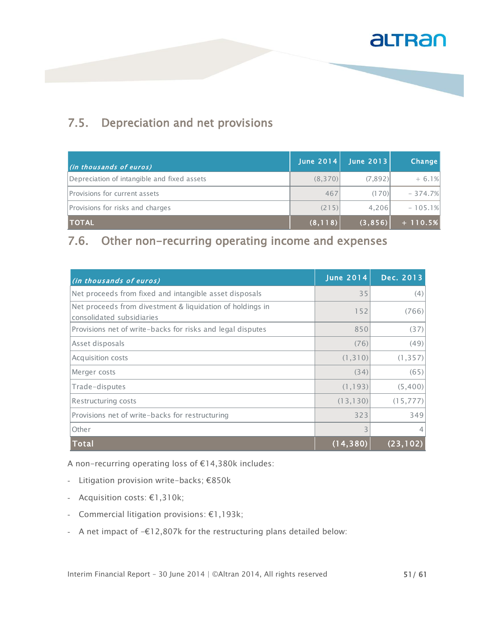### 7.5. Depreciation and net provisions

| (in thousands of euros)                     | June $2014$ | June 2013 | Change    |
|---------------------------------------------|-------------|-----------|-----------|
| Depreciation of intangible and fixed assets | (8,370)     | (7,892)   | $+6.1%$   |
| Provisions for current assets               | 467         | (170)     | $-374.7%$ |
| Provisions for risks and charges            | (215)       | 4.206     | $-105.1%$ |
| <b>TOTAL</b>                                | (8, 118)    | (3, 856)  | $+110.5%$ |

#### 7.6. Other non-recurring operating income and expenses

| (in thousands of euros)                                                                | <b>June 2014</b> | Dec. 2013 |
|----------------------------------------------------------------------------------------|------------------|-----------|
| Net proceeds from fixed and intangible asset disposals                                 | 35               | (4)       |
| Net proceeds from divestment & liquidation of holdings in<br>consolidated subsidiaries | 152              | (766)     |
| Provisions net of write-backs for risks and legal disputes                             | 850              | (37)      |
| Asset disposals                                                                        | (76)             | (49)      |
| Acquisition costs                                                                      | (1, 310)         | (1, 357)  |
| Merger costs                                                                           | (34)             | (65)      |
| Trade-disputes                                                                         | (1, 193)         | (5,400)   |
| Restructuring costs                                                                    | (13, 130)        | (15, 777) |
| Provisions net of write-backs for restructuring                                        | 323              | 349       |
| Other                                                                                  | 3                |           |
| Total                                                                                  | (14,380          | (23.      |

A non-recurring operating loss of €14,380k includes:

- Litigation provision write-backs; €850k
- Acquisition costs: €1,310k;
- Commercial litigation provisions: €1,193k;
- A net impact of -€12,807k for the restructuring plans detailed below: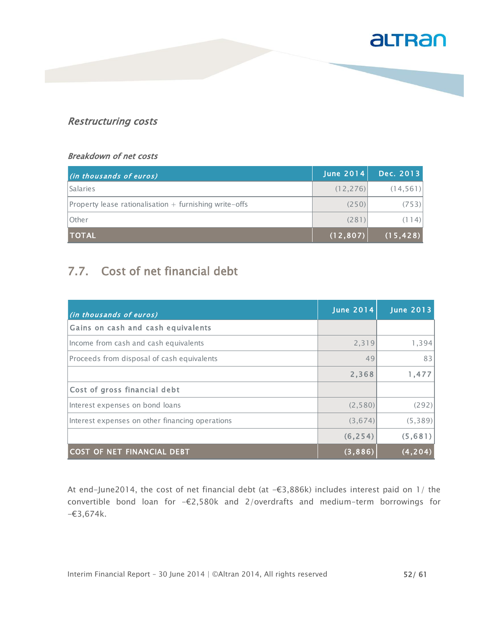

#### Restructuring costs

#### Breakdown of net costs

| (in thousands of euros)                                      | June 2014 | Dec. 2013 |
|--------------------------------------------------------------|-----------|-----------|
| <b>Salaries</b>                                              | (12, 276) | (14, 561) |
| $ Property $ lease rationalisation $+$ furnishing write-offs | (250)     | (753)     |
| <b>lOther</b>                                                | (281)     | (114)     |
| <b>TOTAL</b>                                                 | (12, 807) | (15, 428) |

### 7.7. Cost of net financial debt

| (in thousands of euros)                         | June $2014$ | <b>June 2013</b> |
|-------------------------------------------------|-------------|------------------|
| Gains on cash and cash equivalents              |             |                  |
| Income from cash and cash equivalents           | 2,319       | 1,394            |
| Proceeds from disposal of cash equivalents      | 49          | 83               |
|                                                 | 2,368       | 1,477            |
| Cost of gross financial debt                    |             |                  |
| Interest expenses on bond loans                 | (2, 580)    | (292)            |
| Interest expenses on other financing operations | (3,674)     | (5, 389)         |
|                                                 | (6, 254)    | (5,681)          |
| <b>COST OF NET FINANCIAL DEBT</b>               | (3,886)     | (4.204)          |

At end-June2014, the cost of net financial debt (at -€3,886k) includes interest paid on 1/ the convertible bond loan for -€2,580k and 2/overdrafts and medium-term borrowings for  $-63,674k$ .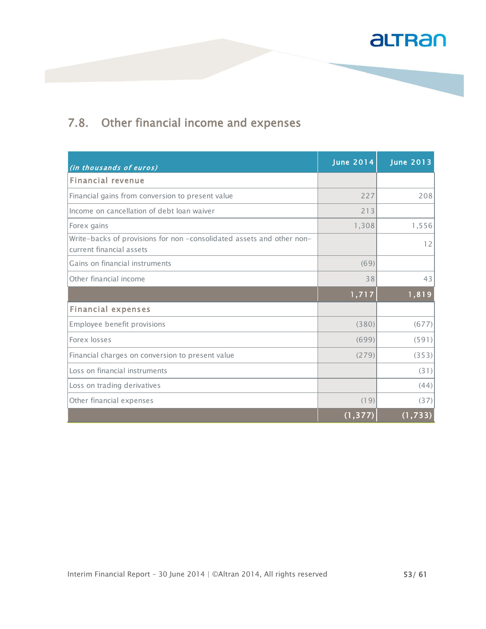

### 7.8. Other financial income and expenses

| (in thousands of euros)                                                                           | <b>June 2014</b> | <b>June 2013</b> |
|---------------------------------------------------------------------------------------------------|------------------|------------------|
| <b>Financial revenue</b>                                                                          |                  |                  |
| Financial gains from conversion to present value                                                  | 227              | 208              |
| Income on cancellation of debt loan waiver                                                        | 213              |                  |
| Forex gains                                                                                       | 1,308            | 1,556            |
| Write-backs of provisions for non -consolidated assets and other non-<br>current financial assets |                  | 12               |
| Gains on financial instruments                                                                    | (69)             |                  |
| Other financial income                                                                            | 38               | 43               |
|                                                                                                   | 1,717            | 1,819            |
| <b>Financial expenses</b>                                                                         |                  |                  |
| Employee benefit provisions                                                                       | (380)            | (677)            |
| Forex losses                                                                                      | (699)            | (591)            |
| Financial charges on conversion to present value                                                  | (279)            | (353)            |
| Loss on financial instruments                                                                     |                  | (31)             |
| Loss on trading derivatives                                                                       |                  | (44)             |
| Other financial expenses                                                                          | (19)             | (37)             |
|                                                                                                   | (1, 377)         | (1, 733)         |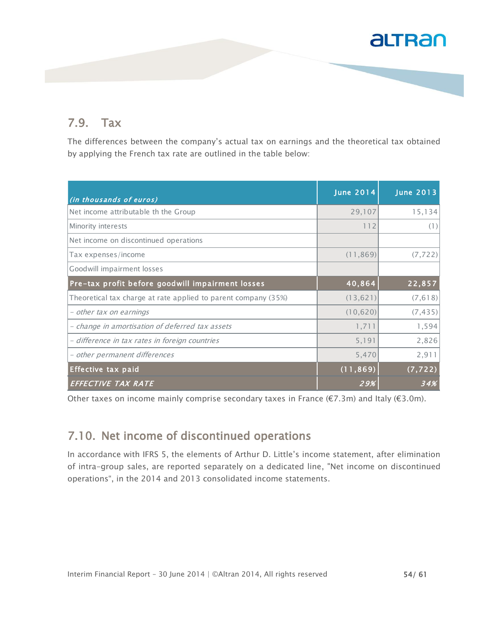#### 7.9. Tax

The differences between the company's actual tax on earnings and the theoretical tax obtained by applying the French tax rate are outlined in the table below:

| (in thousands of euros)                                        | <b>June 2014</b> | <b>June 2013</b> |
|----------------------------------------------------------------|------------------|------------------|
| Net income attributable th the Group                           | 29,107           | 15,134           |
| Minority interests                                             | 112              | (1)              |
| Net income on discontinued operations                          |                  |                  |
| Tax expenses/income                                            | (11, 869)        | (7, 722)         |
| Goodwill impairment losses                                     |                  |                  |
| Pre-tax profit before goodwill impairment losses               | 40,864           | 22,857           |
| Theoretical tax charge at rate applied to parent company (35%) | (13, 621)        | (7, 618)         |
| - other tax on earnings                                        | (10, 620)        | (7, 435)         |
| - change in amortisation of deferred tax assets                | 1,711            | 1,594            |
| - difference in tax rates in foreign countries                 | 5,191            | 2,826            |
| - other permanent differences                                  | 5,470            | 2,911            |
| <b>Effective tax paid</b>                                      | (11, 869)        | (7, 722)         |
| EFFECTIVE TAX RATE                                             | 29%              | 34%              |

Other taxes on income mainly comprise secondary taxes in France (€7.3m) and Italy (€3.0m).

#### 7.10. Net income of discontinued operations

In accordance with IFRS 5, the elements of Arthur D. Little's income statement, after elimination of intra-group sales, are reported separately on a dedicated line, "Net income on discontinued operations", in the 2014 and 2013 consolidated income statements.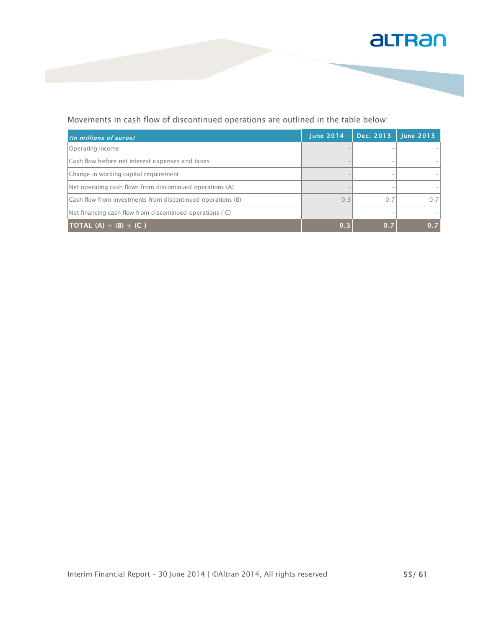

#### Movements in cash flow of discontinued operations are outlined in the table below:

| (in millions of euros)                                      | <b>June 2014</b> | Dec. 2013 | <b>June 2013</b> |
|-------------------------------------------------------------|------------------|-----------|------------------|
| Operating income                                            |                  |           |                  |
| Cash flow before net interest expenses and taxes            |                  |           |                  |
| Change in working capital requirement                       |                  |           |                  |
| Net operating cash flows from discontinued operations (A)   |                  |           |                  |
| Cash flow from investments from discontinued operations (B) | 0.3              | 0.7       | 0.7              |
| Net financing cash flow from discontinued operations (C)    |                  |           |                  |
| <b>TOTAL</b> (A) + (B) + (C)                                | 0.3              | 0.7       | 0.7              |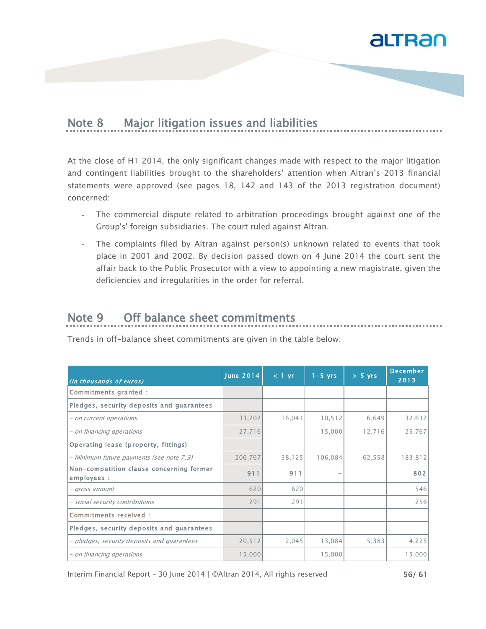

#### Note 8 Major litigation issues and liabilities

At the close of H1 2014, the only significant changes made with respect to the major litigation and contingent liabilities brought to the shareholders' attention when Altran's 2013 financial statements were approved (see pages 18, 142 and 143 of the 2013 registration document) concerned:

- The commercial dispute related to arbitration proceedings brought against one of the Group's' foreign subsidiaries. The court ruled against Altran.
- The complaints filed by Altran against person(s) unknown related to events that took place in 2001 and 2002. By decision passed down on 4 June 2014 the court sent the affair back to the Public Prosecutor with a view to appointing a new magistrate, given the deficiencies and irregularities in the order for referral.

### Note 9 Off balance sheet commitments

Trends in off-balance sheet commitments are given in the table below:

| (in thousands of euros)                                 | <b>June 2014</b> | $\leq 1$ yr | $1 - 5$ yrs              | $> 5$ yrs | <b>December</b><br>2013 |
|---------------------------------------------------------|------------------|-------------|--------------------------|-----------|-------------------------|
| Commitments granted :                                   |                  |             |                          |           |                         |
| Pledges, security deposits and guarantees               |                  |             |                          |           |                         |
| - on current operations                                 | 33,202           | 16,041      | 10, 512                  | 6,649     | 32,632                  |
| - on financing operations                               | 27,716           |             | 15,000                   | 12,716    | 25,767                  |
| Operating lease (property, fittings)                    |                  |             |                          |           |                         |
| - Minimum future payments (see note 7.3)                | 206,767          | 38,125      | 106,084                  | 62,558    | 183,812                 |
| Non-competition clause concerning former<br>employees : | 911              | 911         | $\overline{\phantom{a}}$ |           | 802                     |
| - gross amount                                          | 620              | 620         |                          |           | 546                     |
| - social security contributions                         | 291              | 291         |                          |           | 256                     |
| Commitments received :                                  |                  |             |                          |           |                         |
| Pledges, security deposits and guarantees               |                  |             |                          |           |                         |
| - pledges, security deposits and guarantees             | 20,512           | 2,045       | 13,084                   | 5,383     | 4,225                   |
| - on financing operations                               | 15,000           |             | 15,000                   |           | 15,000                  |

Interim Financial Report – 30 June 2014 | ©Altran 2014, All rights reserved  $56/ 61$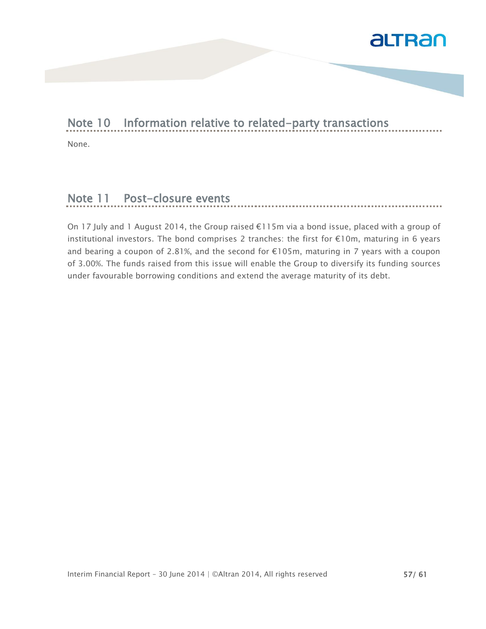

#### Note 10 Information relative to related-party transactions

None.

### Note 11 Post-closure events

On 17 July and 1 August 2014, the Group raised €115m via a bond issue, placed with a group of institutional investors. The bond comprises 2 tranches: the first for €10m, maturing in 6 years and bearing a coupon of 2.81%, and the second for €105m, maturing in 7 years with a coupon of 3.00%. The funds raised from this issue will enable the Group to diversify its funding sources under favourable borrowing conditions and extend the average maturity of its debt.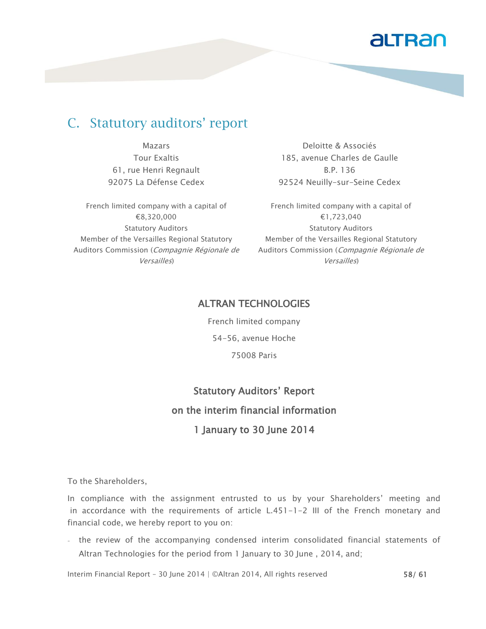### C. Statutory auditors' report

Mazars Tour Exaltis 61, rue Henri Regnault 92075 La Défense Cedex

French limited company with a capital of €8,320,000 Statutory Auditors Member of the Versailles Regional Statutory Auditors Commission (Compagnie Régionale de Versailles)

Deloitte & Associés 185, avenue Charles de Gaulle B.P. 136 92524 Neuilly-sur-Seine Cedex

French limited company with a capital of €1,723,040 Statutory Auditors Member of the Versailles Regional Statutory Auditors Commission (Compagnie Régionale de Versailles)

#### ALTRAN TECHNOLOGIES

French limited company 54-56, avenue Hoche 75008 Paris

## Statutory Auditors' Report on the interim financial information 1 January to 30 June 2014

To the Shareholders,

In compliance with the assignment entrusted to us by your Shareholders' meeting and in accordance with the requirements of article L.451-1-2 III of the French monetary and financial code, we hereby report to you on:

- the review of the accompanying condensed interim consolidated financial statements of Altran Technologies for the period from 1 January to 30 June , 2014, and;

Interim Financial Report – 30 June 2014 | ©Altran 2014, All rights reserved 58/61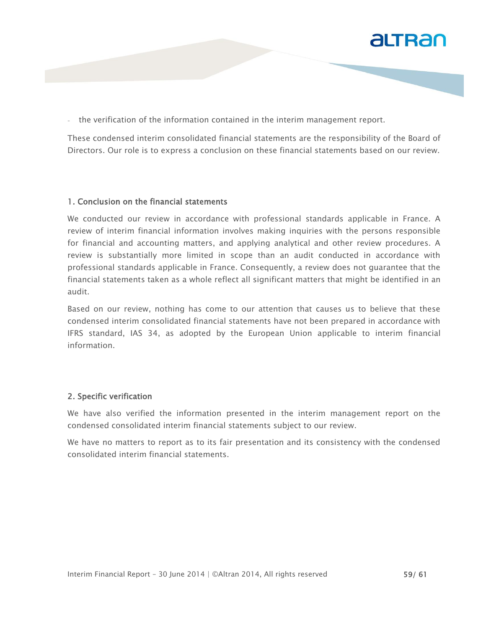

- the verification of the information contained in the interim management report.

These condensed interim consolidated financial statements are the responsibility of the Board of Directors. Our role is to express a conclusion on these financial statements based on our review.

#### 1. Conclusion on the financial statements

We conducted our review in accordance with professional standards applicable in France. A review of interim financial information involves making inquiries with the persons responsible for financial and accounting matters, and applying analytical and other review procedures. A review is substantially more limited in scope than an audit conducted in accordance with professional standards applicable in France. Consequently, a review does not guarantee that the financial statements taken as a whole reflect all significant matters that might be identified in an audit.

Based on our review, nothing has come to our attention that causes us to believe that these condensed interim consolidated financial statements have not been prepared in accordance with IFRS standard, IAS 34, as adopted by the European Union applicable to interim financial information.

#### 2. Specific verification

We have also verified the information presented in the interim management report on the condensed consolidated interim financial statements subject to our review.

We have no matters to report as to its fair presentation and its consistency with the condensed consolidated interim financial statements.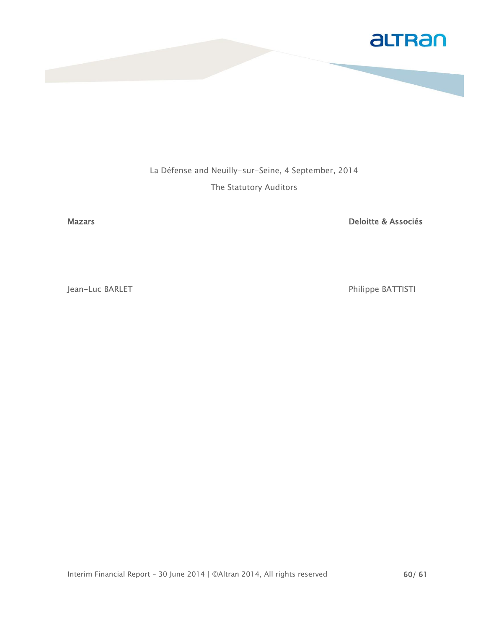

La Défense and Neuilly-sur-Seine, 4 September, 2014 The Statutory Auditors

Mazars **Deloitte & Associés** 

Jean-Luc BARLET **Philippe BATTISTI**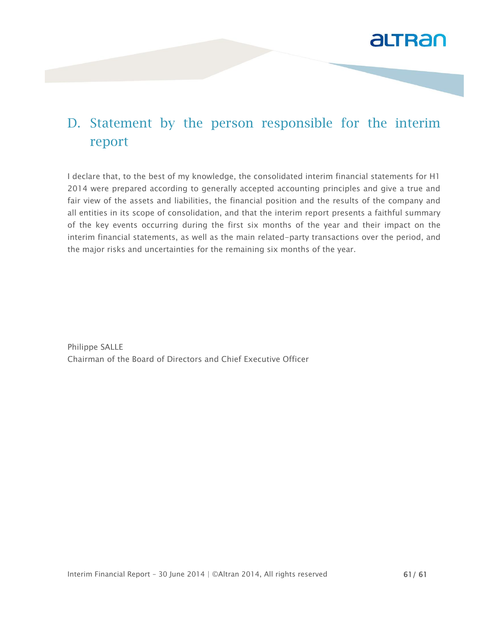

### D. Statement by the person responsible for the interim report

I declare that, to the best of my knowledge, the consolidated interim financial statements for H1 2014 were prepared according to generally accepted accounting principles and give a true and fair view of the assets and liabilities, the financial position and the results of the company and all entities in its scope of consolidation, and that the interim report presents a faithful summary of the key events occurring during the first six months of the year and their impact on the interim financial statements, as well as the main related-party transactions over the period, and the major risks and uncertainties for the remaining six months of the year.

Philippe SALLE Chairman of the Board of Directors and Chief Executive Officer